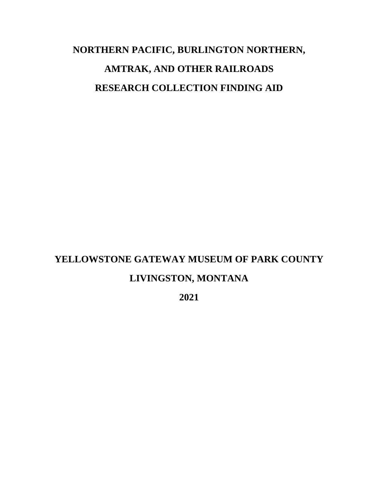# **NORTHERN PACIFIC, BURLINGTON NORTHERN, AMTRAK, AND OTHER RAILROADS RESEARCH COLLECTION FINDING AID**

# **YELLOWSTONE GATEWAY MUSEUM OF PARK COUNTY LIVINGSTON, MONTANA**

**2021**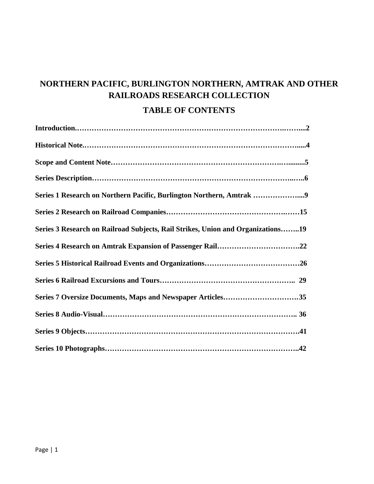# **NORTHERN PACIFIC, BURLINGTON NORTHERN, AMTRAK AND OTHER RAILROADS RESEARCH COLLECTION**

### **TABLE OF CONTENTS**

| Series 1 Research on Northern Pacific, Burlington Northern, Amtrak 9            |
|---------------------------------------------------------------------------------|
|                                                                                 |
| Series 3 Research on Railroad Subjects, Rail Strikes, Union and Organizations19 |
|                                                                                 |
|                                                                                 |
|                                                                                 |
| Series 7 Oversize Documents, Maps and Newspaper Articles35                      |
|                                                                                 |
|                                                                                 |
|                                                                                 |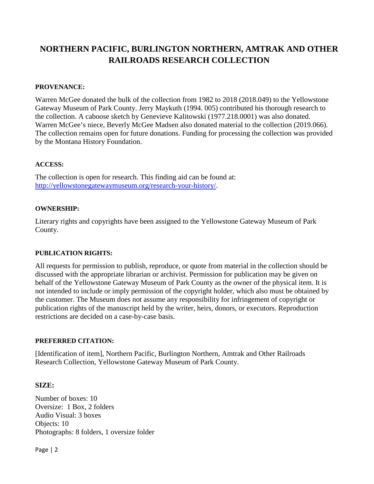## **NORTHERN PACIFIC, BURLINGTON NORTHERN, AMTRAK AND OTHER RAILROADS RESEARCH COLLECTION**

#### **PROVENANCE:**

Warren McGee donated the bulk of the collection from 1982 to 2018 (2018.049) to the Yellowstone Gateway Museum of Park County. Jerry Maykuth (1994. 005) contributed his thorough research to the collection. A caboose sketch by Genevieve Kalitowski (1977.218.0001) was also donated. Warren McGee's niece, Beverly McGee Madsen also donated material to the collection (2019.066). The collection remains open for future donations. Funding for processing the collection was provided by the Montana History Foundation.

#### **ACCESS:**

The collection is open for research. This finding aid can be found at: [http://yellowstonegatewaymuseum.org/research-your-history/.](http://yellowstonegatewaymuseum.org/research-your-history/)

#### **OWNERSHIP:**

Literary rights and copyrights have been assigned to the Yellowstone Gateway Museum of Park County.

#### **PUBLICATION RIGHTS:**

All requests for permission to publish, reproduce, or quote from material in the collection should be discussed with the appropriate librarian or archivist. Permission for publication may be given on behalf of the Yellowstone Gateway Museum of Park County as the owner of the physical item. It is not intended to include or imply permission of the copyright holder, which also must be obtained by the customer. The Museum does not assume any responsibility for infringement of copyright or publication rights of the manuscript held by the writer, heirs, donors, or executors. Reproduction restrictions are decided on a case-by-case basis.

#### **PREFERRED CITATION:**

[Identification of item], Northern Pacific, Burlington Northern, Amtrak and Other Railroads Research Collection, Yellowstone Gateway Museum of Park County.

#### **SIZE:**

Number of boxes: 10 Oversize: 1 Box, 2 folders Audio Visual: 3 boxes Objects: 10 Photographs: 8 folders, 1 oversize folder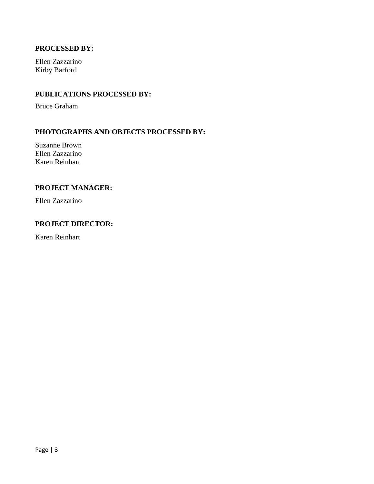#### **PROCESSED BY:**

Ellen Zazzarino Kirby Barford

#### **PUBLICATIONS PROCESSED BY:**

Bruce Graham

#### **PHOTOGRAPHS AND OBJECTS PROCESSED BY:**

Suzanne Brown Ellen Zazzarino Karen Reinhart

#### **PROJECT MANAGER:**

Ellen Zazzarino

#### **PROJECT DIRECTOR:**

Karen Reinhart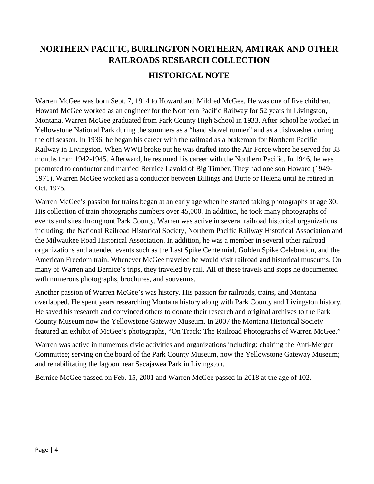# **NORTHERN PACIFIC, BURLINGTON NORTHERN, AMTRAK AND OTHER RAILROADS RESEARCH COLLECTION HISTORICAL NOTE**

Warren McGee was born Sept. 7, 1914 to Howard and Mildred McGee. He was one of five children. Howard McGee worked as an engineer for the Northern Pacific Railway for 52 years in Livingston, Montana. Warren McGee graduated from Park County High School in 1933. After school he worked in Yellowstone National Park during the summers as a "hand shovel runner" and as a dishwasher during the off season. In 1936, he began his career with the railroad as a brakeman for Northern Pacific Railway in Livingston. When WWII broke out he was drafted into the Air Force where he served for 33 months from 1942-1945. Afterward, he resumed his career with the Northern Pacific. In 1946, he was promoted to conductor and married Bernice Lavold of Big Timber. They had one son Howard (1949- 1971). Warren McGee worked as a conductor between Billings and Butte or Helena until he retired in Oct. 1975.

Warren McGee's passion for trains began at an early age when he started taking photographs at age 30. His collection of train photographs numbers over 45,000. In addition, he took many photographs of events and sites throughout Park County. Warren was active in several railroad historical organizations including: the National Railroad Historical Society, Northern Pacific Railway Historical Association and the Milwaukee Road Historical Association. In addition, he was a member in several other railroad organizations and attended events such as the Last Spike Centennial, Golden Spike Celebration, and the American Freedom train. Whenever McGee traveled he would visit railroad and historical museums. On many of Warren and Bernice's trips, they traveled by rail. All of these travels and stops he documented with numerous photographs, brochures, and souvenirs.

Another passion of Warren McGee's was history. His passion for railroads, trains, and Montana overlapped. He spent years researching Montana history along with Park County and Livingston history. He saved his research and convinced others to donate their research and original archives to the Park County Museum now the Yellowstone Gateway Museum. In 2007 the Montana Historical Society featured an exhibit of McGee's photographs, "On Track: The Railroad Photographs of Warren McGee."

Warren was active in numerous civic activities and organizations including: chairing the Anti-Merger Committee; serving on the board of the Park County Museum, now the Yellowstone Gateway Museum; and rehabilitating the lagoon near Sacajawea Park in Livingston.

Bernice McGee passed on Feb. 15, 2001 and Warren McGee passed in 2018 at the age of 102.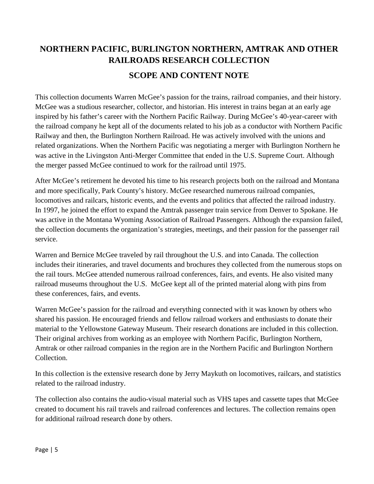# **NORTHERN PACIFIC, BURLINGTON NORTHERN, AMTRAK AND OTHER RAILROADS RESEARCH COLLECTION SCOPE AND CONTENT NOTE**

This collection documents Warren McGee's passion for the trains, railroad companies, and their history. McGee was a studious researcher, collector, and historian. His interest in trains began at an early age inspired by his father's career with the Northern Pacific Railway. During McGee's 40-year-career with the railroad company he kept all of the documents related to his job as a conductor with Northern Pacific Railway and then, the Burlington Northern Railroad. He was actively involved with the unions and related organizations. When the Northern Pacific was negotiating a merger with Burlington Northern he was active in the Livingston Anti-Merger Committee that ended in the U.S. Supreme Court. Although the merger passed McGee continued to work for the railroad until 1975.

After McGee's retirement he devoted his time to his research projects both on the railroad and Montana and more specifically, Park County's history. McGee researched numerous railroad companies, locomotives and railcars, historic events, and the events and politics that affected the railroad industry. In 1997, he joined the effort to expand the Amtrak passenger train service from Denver to Spokane. He was active in the Montana Wyoming Association of Railroad Passengers. Although the expansion failed, the collection documents the organization's strategies, meetings, and their passion for the passenger rail service.

Warren and Bernice McGee traveled by rail throughout the U.S. and into Canada. The collection includes their itineraries, and travel documents and brochures they collected from the numerous stops on the rail tours. McGee attended numerous railroad conferences, fairs, and events. He also visited many railroad museums throughout the U.S. McGee kept all of the printed material along with pins from these conferences, fairs, and events.

Warren McGee's passion for the railroad and everything connected with it was known by others who shared his passion. He encouraged friends and fellow railroad workers and enthusiasts to donate their material to the Yellowstone Gateway Museum. Their research donations are included in this collection. Their original archives from working as an employee with Northern Pacific, Burlington Northern, Amtrak or other railroad companies in the region are in the Northern Pacific and Burlington Northern Collection.

In this collection is the extensive research done by Jerry Maykuth on locomotives, railcars, and statistics related to the railroad industry.

The collection also contains the audio-visual material such as VHS tapes and cassette tapes that McGee created to document his rail travels and railroad conferences and lectures. The collection remains open for additional railroad research done by others.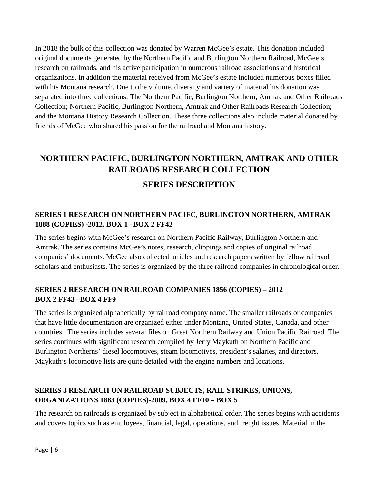In 2018 the bulk of this collection was donated by Warren McGee's estate. This donation included original documents generated by the Northern Pacific and Burlington Northern Railroad, McGee's research on railroads, and his active participation in numerous railroad associations and historical organizations. In addition the material received from McGee's estate included numerous boxes filled with his Montana research. Due to the volume, diversity and variety of material his donation was separated into three collections: The Northern Pacific, Burlington Northern, Amtrak and Other Railroads Collection; Northern Pacific, Burlington Northern, Amtrak and Other Railroads Research Collection; and the Montana History Research Collection. These three collections also include material donated by friends of McGee who shared his passion for the railroad and Montana history.

# **NORTHERN PACIFIC, BURLINGTON NORTHERN, AMTRAK AND OTHER RAILROADS RESEARCH COLLECTION SERIES DESCRIPTION**

# **SERIES 1 RESEARCH ON NORTHERN PACIFC, BURLINGTON NORTHERN, AMTRAK**

The series begins with McGee's research on Northern Pacific Railway, Burlington Northern and Amtrak. The series contains McGee's notes, research, clippings and copies of original railroad companies' documents. McGee also collected articles and research papers written by fellow railroad scholars and enthusiasts. The series is organized by the three railroad companies in chronological order.

#### **SERIES 2 RESEARCH ON RAILROAD COMPANIES 1856 (COPIES) – 2012 BOX 2 FF43 –BOX 4 FF9**

**1888 (COPIES) -2012, BOX 1 –BOX 2 FF42** 

The series is organized alphabetically by railroad company name. The smaller railroads or companies that have little documentation are organized either under Montana, United States, Canada, and other countries. The series includes several files on Great Northern Railway and Union Pacific Railroad. The series continues with significant research compiled by Jerry Maykuth on Northern Pacific and Burlington Northerns' diesel locomotives, steam locomotives, president's salaries, and directors. Maykuth's locomotive lists are quite detailed with the engine numbers and locations.

#### **SERIES 3 RESEARCH ON RAILROAD SUBJECTS, RAIL STRIKES, UNIONS, ORGANIZATIONS 1883 (COPIES)-2009, BOX 4 FF10 – BOX 5**

The research on railroads is organized by subject in alphabetical order. The series begins with accidents and covers topics such as employees, financial, legal, operations, and freight issues. Material in the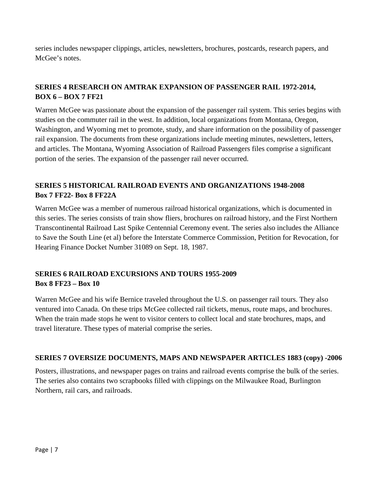series includes newspaper clippings, articles, newsletters, brochures, postcards, research papers, and McGee's notes.

#### **SERIES 4 RESEARCH ON AMTRAK EXPANSION OF PASSENGER RAIL 1972-2014, BOX 6 – BOX 7 FF21**

Warren McGee was passionate about the expansion of the passenger rail system. This series begins with studies on the commuter rail in the west. In addition, local organizations from Montana, Oregon, Washington, and Wyoming met to promote, study, and share information on the possibility of passenger rail expansion. The documents from these organizations include meeting minutes, newsletters, letters, and articles. The Montana, Wyoming Association of Railroad Passengers files comprise a significant portion of the series. The expansion of the passenger rail never occurred.

#### **SERIES 5 HISTORICAL RAILROAD EVENTS AND ORGANIZATIONS 1948-2008 Box 7 FF22- Box 8 FF22A**

Warren McGee was a member of numerous railroad historical organizations, which is documented in this series. The series consists of train show fliers, brochures on railroad history, and the First Northern Transcontinental Railroad Last Spike Centennial Ceremony event. The series also includes the Alliance to Save the South Line (et al) before the Interstate Commerce Commission, Petition for Revocation, for Hearing Finance Docket Number 31089 on Sept. 18, 1987.

#### **SERIES 6 RAILROAD EXCURSIONS AND TOURS 1955-2009 Box 8 FF23 – Box 10**

Warren McGee and his wife Bernice traveled throughout the U.S. on passenger rail tours. They also ventured into Canada. On these trips McGee collected rail tickets, menus, route maps, and brochures. When the train made stops he went to visitor centers to collect local and state brochures, maps, and travel literature. These types of material comprise the series.

#### **SERIES 7 OVERSIZE DOCUMENTS, MAPS AND NEWSPAPER ARTICLES 1883 (copy) -2006**

Posters, illustrations, and newspaper pages on trains and railroad events comprise the bulk of the series. The series also contains two scrapbooks filled with clippings on the Milwaukee Road, Burlington Northern, rail cars, and railroads.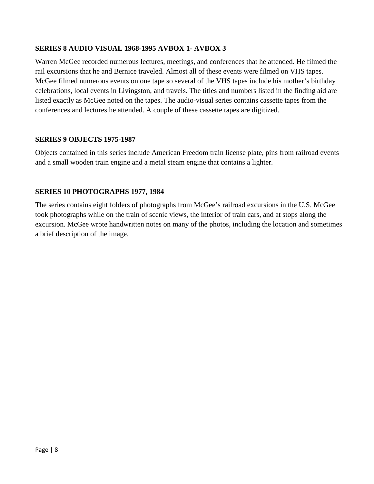#### **SERIES 8 AUDIO VISUAL 1968-1995 AVBOX 1- AVBOX 3**

Warren McGee recorded numerous lectures, meetings, and conferences that he attended. He filmed the rail excursions that he and Bernice traveled. Almost all of these events were filmed on VHS tapes. McGee filmed numerous events on one tape so several of the VHS tapes include his mother's birthday celebrations, local events in Livingston, and travels. The titles and numbers listed in the finding aid are listed exactly as McGee noted on the tapes. The audio-visual series contains cassette tapes from the conferences and lectures he attended. A couple of these cassette tapes are digitized.

#### **SERIES 9 OBJECTS 1975-1987**

Objects contained in this series include American Freedom train license plate, pins from railroad events and a small wooden train engine and a metal steam engine that contains a lighter.

#### **SERIES 10 PHOTOGRAPHS 1977, 1984**

The series contains eight folders of photographs from McGee's railroad excursions in the U.S. McGee took photographs while on the train of scenic views, the interior of train cars, and at stops along the excursion. McGee wrote handwritten notes on many of the photos, including the location and sometimes a brief description of the image.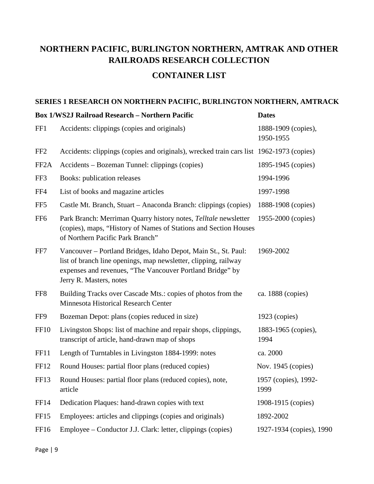## **NORTHERN PACIFIC, BURLINGTON NORTHERN, AMTRAK AND OTHER RAILROADS RESEARCH COLLECTION**

### **CONTAINER LIST**

#### **SERIES 1 RESEARCH ON NORTHERN PACIFIC, BURLINGTON NORTHERN, AMTRACK**

|                   | <b>Box 1/WS2J Railroad Research - Northern Pacific</b>                                                                                                                                                                    | <b>Dates</b>                     |
|-------------------|---------------------------------------------------------------------------------------------------------------------------------------------------------------------------------------------------------------------------|----------------------------------|
| FF1               | Accidents: clippings (copies and originals)                                                                                                                                                                               | 1888-1909 (copies),<br>1950-1955 |
| FF <sub>2</sub>   | Accidents: clippings (copies and originals), wrecked train cars list 1962-1973 (copies)                                                                                                                                   |                                  |
| FF <sub>2</sub> A | Accidents - Bozeman Tunnel: clippings (copies)                                                                                                                                                                            | 1895-1945 (copies)               |
| FF3               | Books: publication releases                                                                                                                                                                                               | 1994-1996                        |
| FF4               | List of books and magazine articles                                                                                                                                                                                       | 1997-1998                        |
| FF <sub>5</sub>   | Castle Mt. Branch, Stuart – Anaconda Branch: clippings (copies)                                                                                                                                                           | 1888-1908 (copies)               |
| FF <sub>6</sub>   | Park Branch: Merriman Quarry history notes, Telltale newsletter<br>(copies), maps, "History of Names of Stations and Section Houses<br>of Northern Pacific Park Branch"                                                   | 1955-2000 (copies)               |
| FF7               | Vancouver - Portland Bridges, Idaho Depot, Main St., St. Paul:<br>list of branch line openings, map newsletter, clipping, railway<br>expenses and revenues, "The Vancouver Portland Bridge" by<br>Jerry R. Masters, notes | 1969-2002                        |
| FF <sub>8</sub>   | Building Tracks over Cascade Mts.: copies of photos from the<br>Minnesota Historical Research Center                                                                                                                      | ca. 1888 (copies)                |
| FF9               | Bozeman Depot: plans (copies reduced in size)                                                                                                                                                                             | 1923 (copies)                    |
| <b>FF10</b>       | Livingston Shops: list of machine and repair shops, clippings,<br>transcript of article, hand-drawn map of shops                                                                                                          | 1883-1965 (copies),<br>1994      |
| <b>FF11</b>       | Length of Turntables in Livingston 1884-1999: notes                                                                                                                                                                       | ca. 2000                         |
| FF12              | Round Houses: partial floor plans (reduced copies)                                                                                                                                                                        | Nov. $1945$ (copies)             |
| FF13              | Round Houses: partial floor plans (reduced copies), note,<br>article                                                                                                                                                      | 1957 (copies), 1992-<br>1999     |
| FF14              | Dedication Plaques: hand-drawn copies with text                                                                                                                                                                           | 1908-1915 (copies)               |
| FF15              | Employees: articles and clippings (copies and originals)                                                                                                                                                                  | 1892-2002                        |
| FF16              | Employee – Conductor J.J. Clark: letter, clippings (copies)                                                                                                                                                               | 1927-1934 (copies), 1990         |
|                   |                                                                                                                                                                                                                           |                                  |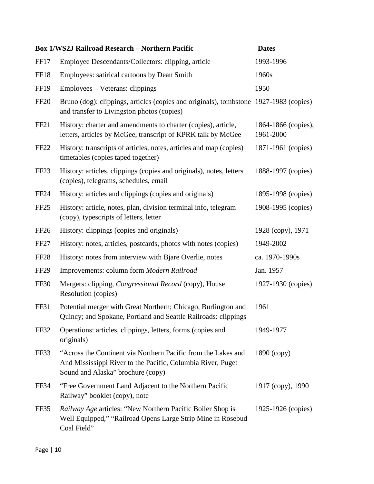|                  | <b>Box 1/WS2J Railroad Research - Northern Pacific</b>                                                                                                            | <b>Dates</b>                     |
|------------------|-------------------------------------------------------------------------------------------------------------------------------------------------------------------|----------------------------------|
| FF17             | Employee Descendants/Collectors: clipping, article                                                                                                                | 1993-1996                        |
| <b>FF18</b>      | Employees: satirical cartoons by Dean Smith                                                                                                                       | 1960s                            |
| <b>FF19</b>      | Employees - Veterans: clippings                                                                                                                                   | 1950                             |
| <b>FF20</b>      | Bruno (dog): clippings, articles (copies and originals), tombstone 1927-1983 (copies)<br>and transfer to Livingston photos (copies)                               |                                  |
| FF <sub>21</sub> | History: charter and amendments to charter (copies), article,<br>letters, articles by McGee, transcript of KPRK talk by McGee                                     | 1864-1866 (copies),<br>1961-2000 |
| <b>FF22</b>      | History: transcripts of articles, notes, articles and map (copies)<br>timetables (copies taped together)                                                          | 1871-1961 (copies)               |
| FF <sub>23</sub> | History: articles, clippings (copies and originals), notes, letters<br>(copies), telegrams, schedules, email                                                      | 1888-1997 (copies)               |
| <b>FF24</b>      | History: articles and clippings (copies and originals)                                                                                                            | 1895-1998 (copies)               |
| FF <sub>25</sub> | History: article, notes, plan, division terminal info, telegram<br>(copy), typescripts of letters, letter                                                         | 1908-1995 (copies)               |
| FF <sub>26</sub> | History: clippings (copies and originals)                                                                                                                         | 1928 (copy), 1971                |
| FF <sub>27</sub> | History: notes, articles, postcards, photos with notes (copies)                                                                                                   | 1949-2002                        |
| <b>FF28</b>      | History: notes from interview with Bjare Overlie, notes                                                                                                           | ca. 1970-1990s                   |
| FF <sub>29</sub> | Improvements: column form Modern Railroad                                                                                                                         | Jan. 1957                        |
| <b>FF30</b>      | Mergers: clipping, <i>Congressional Record</i> (copy), House<br>Resolution (copies)                                                                               | 1927-1930 (copies)               |
| FF31             | Potential merger with Great Northern; Chicago, Burlington and<br>Quincy; and Spokane, Portland and Seattle Railroads: clippings                                   | 1961                             |
| FF32             | Operations: articles, clippings, letters, forms (copies and<br>originals)                                                                                         | 1949-1977                        |
| <b>FF33</b>      | "Across the Continent via Northern Pacific from the Lakes and<br>And Mississippi River to the Pacific, Columbia River, Puget<br>Sound and Alaska" brochure (copy) | 1890 (copy)                      |
| FF34             | "Free Government Land Adjacent to the Northern Pacific<br>Railway" booklet (copy), note                                                                           | 1917 (copy), 1990                |
| FF35             | <i>Railway Age</i> articles: "New Northern Pacific Boiler Shop is<br>Well Equipped," "Railroad Opens Large Strip Mine in Rosebud<br>Coal Field"                   | 1925-1926 (copies)               |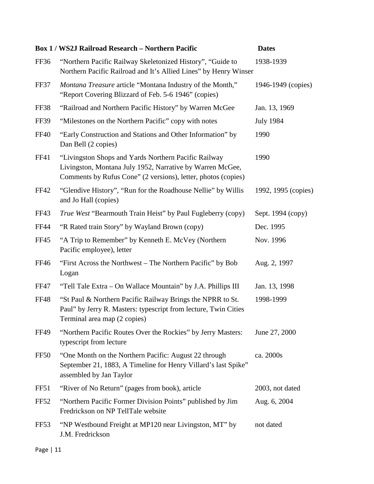|                  | <b>Box 1 / WS2J Railroad Research - Northern Pacific</b>                                                                                                                           | <b>Dates</b>        |
|------------------|------------------------------------------------------------------------------------------------------------------------------------------------------------------------------------|---------------------|
| FF36             | "Northern Pacific Railway Skeletonized History", "Guide to<br>Northern Pacific Railroad and It's Allied Lines" by Henry Winser                                                     | 1938-1939           |
| <b>FF37</b>      | Montana Treasure article "Montana Industry of the Month,"<br>"Report Covering Blizzard of Feb. 5-6 1946" (copies)                                                                  | 1946-1949 (copies)  |
| FF38             | "Railroad and Northern Pacific History" by Warren McGee                                                                                                                            | Jan. 13, 1969       |
| <b>FF39</b>      | "Milestones on the Northern Pacific" copy with notes                                                                                                                               | <b>July 1984</b>    |
| <b>FF40</b>      | "Early Construction and Stations and Other Information" by<br>Dan Bell (2 copies)                                                                                                  | 1990                |
| <b>FF41</b>      | "Livingston Shops and Yards Northern Pacific Railway<br>Livingston, Montana July 1952, Narrative by Warren McGee,<br>Comments by Rufus Cone" (2 versions), letter, photos (copies) | 1990                |
| <b>FF42</b>      | "Glendive History", "Run for the Roadhouse Nellie" by Willis<br>and Jo Hall (copies)                                                                                               | 1992, 1995 (copies) |
| FF43             | <i>True West</i> "Bearmouth Train Heist" by Paul Fugleberry (copy)                                                                                                                 | Sept. 1994 (copy)   |
| <b>FF44</b>      | "R Rated train Story" by Wayland Brown (copy)                                                                                                                                      | Dec. 1995           |
| <b>FF45</b>      | "A Trip to Remember" by Kenneth E. McVey (Northern<br>Pacific employee), letter                                                                                                    | Nov. 1996           |
| FF46             | "First Across the Northwest – The Northern Pacific" by Bob<br>Logan                                                                                                                | Aug. 2, 1997        |
| FF47             | "Tell Tale Extra – On Wallace Mountain" by J.A. Phillips III                                                                                                                       | Jan. 13, 1998       |
| <b>FF48</b>      | "St Paul & Northern Pacific Railway Brings the NPRR to St.<br>Paul" by Jerry R. Masters: typescript from lecture, Twin Cities<br>Terminal area map (2 copies)                      | 1998-1999           |
| <b>FF49</b>      | "Northern Pacific Routes Over the Rockies" by Jerry Masters:<br>typescript from lecture                                                                                            | June 27, 2000       |
| <b>FF50</b>      | "One Month on the Northern Pacific: August 22 through<br>September 21, 1883, A Timeline for Henry Villard's last Spike"<br>assembled by Jan Taylor                                 | ca. 2000s           |
| FF51             | "River of No Return" (pages from book), article                                                                                                                                    | 2003, not dated     |
| FF52             | "Northern Pacific Former Division Points" published by Jim<br>Fredrickson on NP TellTale website                                                                                   | Aug. 6, 2004        |
| FF <sub>53</sub> | "NP Westbound Freight at MP120 near Livingston, MT" by<br>J.M. Fredrickson                                                                                                         | not dated           |
|                  |                                                                                                                                                                                    |                     |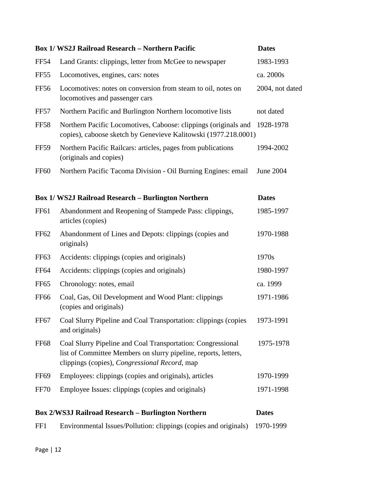|                  | <b>Box 1/ WS2J Railroad Research - Northern Pacific</b>                                                                                                                         | <b>Dates</b>    |
|------------------|---------------------------------------------------------------------------------------------------------------------------------------------------------------------------------|-----------------|
| <b>FF54</b>      | Land Grants: clippings, letter from McGee to newspaper                                                                                                                          | 1983-1993       |
| FF <sub>55</sub> | Locomotives, engines, cars: notes                                                                                                                                               | ca. 2000s       |
| <b>FF56</b>      | Locomotives: notes on conversion from steam to oil, notes on<br>locomotives and passenger cars                                                                                  | 2004, not dated |
| FF57             | Northern Pacific and Burlington Northern locomotive lists                                                                                                                       | not dated       |
| <b>FF58</b>      | Northern Pacific Locomotives, Caboose: clippings (originals and<br>copies), caboose sketch by Genevieve Kalitowski (1977.218.0001)                                              | 1928-1978       |
| <b>FF59</b>      | Northern Pacific Railcars: articles, pages from publications<br>(originals and copies)                                                                                          | 1994-2002       |
| <b>FF60</b>      | Northern Pacific Tacoma Division - Oil Burning Engines: email                                                                                                                   | June 2004       |
|                  | <b>Box 1/ WS2J Railroad Research - Burlington Northern</b>                                                                                                                      | <b>Dates</b>    |
| FF61             | Abandonment and Reopening of Stampede Pass: clippings,<br>articles (copies)                                                                                                     | 1985-1997       |
| FF <sub>62</sub> | Abandonment of Lines and Depots: clippings (copies and<br>originals)                                                                                                            | 1970-1988       |
| FF <sub>63</sub> | Accidents: clippings (copies and originals)                                                                                                                                     | 1970s           |
| <b>FF64</b>      | Accidents: clippings (copies and originals)                                                                                                                                     | 1980-1997       |
| FF <sub>65</sub> | Chronology: notes, email                                                                                                                                                        | ca. 1999        |
| <b>FF66</b>      | Coal, Gas, Oil Development and Wood Plant: clippings<br>(copies and originals)                                                                                                  | 1971-1986       |
| FF <sub>67</sub> | Coal Slurry Pipeline and Coal Transportation: clippings (copies<br>and originals)                                                                                               | 1973-1991       |
| <b>FF68</b>      | Coal Slurry Pipeline and Coal Transportation: Congressional<br>list of Committee Members on slurry pipeline, reports, letters,<br>clippings (copies), Congressional Record, map | 1975-1978       |
| <b>FF69</b>      | Employees: clippings (copies and originals), articles                                                                                                                           | 1970-1999       |
| <b>FF70</b>      | Employee Issues: clippings (copies and originals)                                                                                                                               | 1971-1998       |
|                  | <b>Box 2/WS3J Railroad Research - Burlington Northern</b>                                                                                                                       | <b>Dates</b>    |
| FF1              | Environmental Issues/Pollution: clippings (copies and originals)                                                                                                                | 1970-1999       |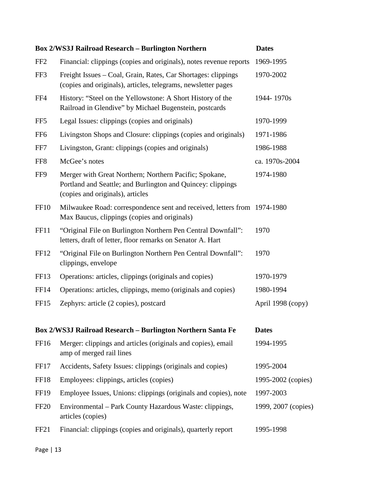|                  | <b>Box 2/WS3J Railroad Research - Burlington Northern</b>                                                                                                 | <b>Dates</b>        |
|------------------|-----------------------------------------------------------------------------------------------------------------------------------------------------------|---------------------|
| FF <sub>2</sub>  | Financial: clippings (copies and originals), notes revenue reports                                                                                        | 1969-1995           |
| FF3              | Freight Issues - Coal, Grain, Rates, Car Shortages: clippings<br>(copies and originals), articles, telegrams, newsletter pages                            | 1970-2002           |
| FF4              | History: "Steel on the Yellowstone: A Short History of the<br>Railroad in Glendive" by Michael Bugenstein, postcards                                      | 1944-1970s          |
| FF <sub>5</sub>  | Legal Issues: clippings (copies and originals)                                                                                                            | 1970-1999           |
| FF <sub>6</sub>  | Livingston Shops and Closure: clippings (copies and originals)                                                                                            | 1971-1986           |
| FF7              | Livingston, Grant: clippings (copies and originals)                                                                                                       | 1986-1988           |
| FF <sub>8</sub>  | McGee's notes                                                                                                                                             | ca. 1970s-2004      |
| FF9              | Merger with Great Northern; Northern Pacific; Spokane,<br>Portland and Seattle; and Burlington and Quincey: clippings<br>(copies and originals), articles | 1974-1980           |
| <b>FF10</b>      | Milwaukee Road: correspondence sent and received, letters from 1974-1980<br>Max Baucus, clippings (copies and originals)                                  |                     |
| <b>FF11</b>      | "Original File on Burlington Northern Pen Central Downfall":<br>letters, draft of letter, floor remarks on Senator A. Hart                                | 1970                |
| FF12             | "Original File on Burlington Northern Pen Central Downfall":<br>clippings, envelope                                                                       | 1970                |
| FF13             | Operations: articles, clippings (originals and copies)                                                                                                    | 1970-1979           |
| <b>FF14</b>      | Operations: articles, clippings, memo (originals and copies)                                                                                              | 1980-1994           |
| FF15             | Zephyrs: article (2 copies), postcard                                                                                                                     | April 1998 (copy)   |
|                  | Box 2/WS3J Railroad Research - Burlington Northern Santa Fe                                                                                               | <b>Dates</b>        |
| FF16             | Merger: clippings and articles (originals and copies), email<br>amp of merged rail lines                                                                  | 1994-1995           |
| FF17             | Accidents, Safety Issues: clippings (originals and copies)                                                                                                | 1995-2004           |
| FF18             | Employees: clippings, articles (copies)                                                                                                                   | 1995-2002 (copies)  |
| <b>FF19</b>      | Employee Issues, Unions: clippings (originals and copies), note                                                                                           | 1997-2003           |
| <b>FF20</b>      | Environmental – Park County Hazardous Waste: clippings,<br>articles (copies)                                                                              | 1999, 2007 (copies) |
| FF <sub>21</sub> | Financial: clippings (copies and originals), quarterly report                                                                                             | 1995-1998           |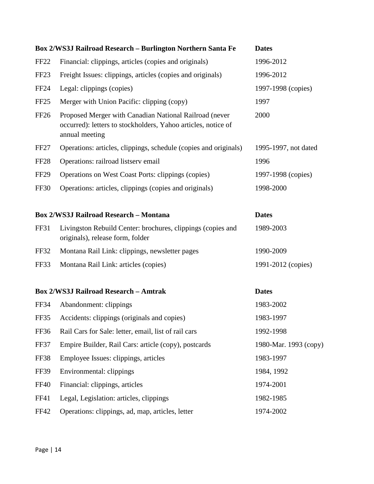|                  | Box 2/WS3J Railroad Research - Burlington Northern Santa Fe                                                                               | <b>Dates</b>          |
|------------------|-------------------------------------------------------------------------------------------------------------------------------------------|-----------------------|
| FF <sub>22</sub> | Financial: clippings, articles (copies and originals)                                                                                     | 1996-2012             |
| FF <sub>23</sub> | Freight Issues: clippings, articles (copies and originals)                                                                                | 1996-2012             |
| <b>FF24</b>      | Legal: clippings (copies)                                                                                                                 | 1997-1998 (copies)    |
| FF <sub>25</sub> | Merger with Union Pacific: clipping (copy)                                                                                                | 1997                  |
| <b>FF26</b>      | Proposed Merger with Canadian National Railroad (never<br>occurred): letters to stockholders, Yahoo articles, notice of<br>annual meeting | 2000                  |
| FF <sub>27</sub> | Operations: articles, clippings, schedule (copies and originals)                                                                          | 1995-1997, not dated  |
| FF <sub>28</sub> | Operations: railroad listserv email                                                                                                       | 1996                  |
| <b>FF29</b>      | Operations on West Coast Ports: clippings (copies)                                                                                        | 1997-1998 (copies)    |
| <b>FF30</b>      | Operations: articles, clippings (copies and originals)                                                                                    | 1998-2000             |
|                  | <b>Box 2/WS3J Railroad Research - Montana</b>                                                                                             | <b>Dates</b>          |
| <b>FF31</b>      | Livingston Rebuild Center: brochures, clippings (copies and<br>originals), release form, folder                                           | 1989-2003             |
| FF32             | Montana Rail Link: clippings, newsletter pages                                                                                            | 1990-2009             |
| FF33             | Montana Rail Link: articles (copies)                                                                                                      | 1991-2012 (copies)    |
|                  | <b>Box 2/WS3J Railroad Research - Amtrak</b>                                                                                              | <b>Dates</b>          |
| FF34             | Abandonment: clippings                                                                                                                    | 1983-2002             |
| FF35             | Accidents: clippings (originals and copies)                                                                                               | 1983-1997             |
| FF36             | Rail Cars for Sale: letter, email, list of rail cars                                                                                      | 1992-1998             |
| FF37             | Empire Builder, Rail Cars: article (copy), postcards                                                                                      | 1980-Mar. 1993 (copy) |
| <b>FF38</b>      | Employee Issues: clippings, articles                                                                                                      | 1983-1997             |
| <b>FF39</b>      | Environmental: clippings                                                                                                                  | 1984, 1992            |
| <b>FF40</b>      | Financial: clippings, articles                                                                                                            | 1974-2001             |
| FF41             | Legal, Legislation: articles, clippings                                                                                                   | 1982-1985             |
| <b>FF42</b>      | Operations: clippings, ad, map, articles, letter                                                                                          | 1974-2002             |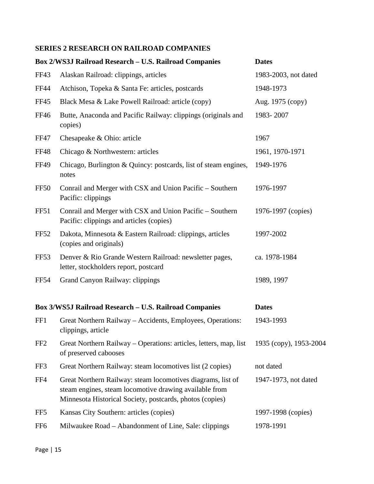#### **SERIES 2 RESEARCH ON RAILROAD COMPANIES**

|                  | <b>Box 2/WS3J Railroad Research - U.S. Railroad Companies</b>                                                                                                                     | <b>Dates</b>           |
|------------------|-----------------------------------------------------------------------------------------------------------------------------------------------------------------------------------|------------------------|
| FF43             | Alaskan Railroad: clippings, articles                                                                                                                                             | 1983-2003, not dated   |
| <b>FF44</b>      | Atchison, Topeka & Santa Fe: articles, postcards                                                                                                                                  | 1948-1973              |
| <b>FF45</b>      | Black Mesa & Lake Powell Railroad: article (copy)                                                                                                                                 | Aug. 1975 (copy)       |
| FF46             | Butte, Anaconda and Pacific Railway: clippings (originals and<br>copies)                                                                                                          | 1983-2007              |
| FF47             | Chesapeake & Ohio: article                                                                                                                                                        | 1967                   |
| <b>FF48</b>      | Chicago & Northwestern: articles                                                                                                                                                  | 1961, 1970-1971        |
| FF49             | Chicago, Burlington & Quincy: postcards, list of steam engines,<br>notes                                                                                                          | 1949-1976              |
| <b>FF50</b>      | Conrail and Merger with CSX and Union Pacific – Southern<br>Pacific: clippings                                                                                                    | 1976-1997              |
| <b>FF51</b>      | Conrail and Merger with CSX and Union Pacific – Southern<br>Pacific: clippings and articles (copies)                                                                              | 1976-1997 (copies)     |
| <b>FF52</b>      | Dakota, Minnesota & Eastern Railroad: clippings, articles<br>(copies and originals)                                                                                               | 1997-2002              |
| FF <sub>53</sub> | Denver & Rio Grande Western Railroad: newsletter pages,<br>letter, stockholders report, postcard                                                                                  | ca. 1978-1984          |
| <b>FF54</b>      | Grand Canyon Railway: clippings                                                                                                                                                   | 1989, 1997             |
|                  | Box 3/WS5J Railroad Research - U.S. Railroad Companies                                                                                                                            | <b>Dates</b>           |
| FF1              | Great Northern Railway - Accidents, Employees, Operations:<br>clippings, article                                                                                                  | 1943-1993              |
| FF <sub>2</sub>  | Great Northern Railway – Operations: articles, letters, map, list<br>of preserved cabooses                                                                                        | 1935 (copy), 1953-2004 |
| FF3              | Great Northern Railway: steam locomotives list (2 copies)                                                                                                                         | not dated              |
| FF4              | Great Northern Railway: steam locomotives diagrams, list of<br>steam engines, steam locomotive drawing available from<br>Minnesota Historical Society, postcards, photos (copies) | 1947-1973, not dated   |
| FF5              | Kansas City Southern: articles (copies)                                                                                                                                           | 1997-1998 (copies)     |
| FF <sub>6</sub>  | Milwaukee Road – Abandonment of Line, Sale: clippings                                                                                                                             | 1978-1991              |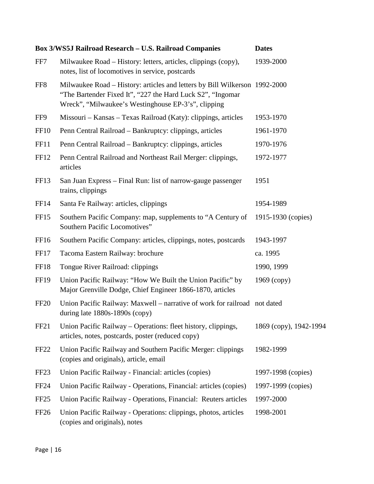|                  | Box 3/WS5J Railroad Research - U.S. Railroad Companies                                                                                                                                           | <b>Dates</b>           |
|------------------|--------------------------------------------------------------------------------------------------------------------------------------------------------------------------------------------------|------------------------|
| FF7              | Milwaukee Road – History: letters, articles, clippings (copy),<br>notes, list of locomotives in service, postcards                                                                               | 1939-2000              |
| FF <sub>8</sub>  | Milwaukee Road – History: articles and letters by Bill Wilkerson 1992-2000<br>"The Bartender Fixed It", "227 the Hard Luck S2", "Ingomar"<br>Wreck", "Milwaukee's Westinghouse EP-3's", clipping |                        |
| FF9              | Missouri – Kansas – Texas Railroad (Katy): clippings, articles                                                                                                                                   | 1953-1970              |
| <b>FF10</b>      | Penn Central Railroad – Bankruptcy: clippings, articles                                                                                                                                          | 1961-1970              |
| FF11             | Penn Central Railroad – Bankruptcy: clippings, articles                                                                                                                                          | 1970-1976              |
| FF12             | Penn Central Railroad and Northeast Rail Merger: clippings,<br>articles                                                                                                                          | 1972-1977              |
| FF13             | San Juan Express – Final Run: list of narrow-gauge passenger<br>trains, clippings                                                                                                                | 1951                   |
| FF14             | Santa Fe Railway: articles, clippings                                                                                                                                                            | 1954-1989              |
| FF15             | Southern Pacific Company: map, supplements to "A Century of<br>Southern Pacific Locomotives"                                                                                                     | 1915-1930 (copies)     |
| FF16             | Southern Pacific Company: articles, clippings, notes, postcards                                                                                                                                  | 1943-1997              |
| FF17             | Tacoma Eastern Railway: brochure                                                                                                                                                                 | ca. 1995               |
| <b>FF18</b>      | Tongue River Railroad: clippings                                                                                                                                                                 | 1990, 1999             |
| <b>FF19</b>      | Union Pacific Railway: "How We Built the Union Pacific" by<br>Major Grenville Dodge, Chief Engineer 1866-1870, articles                                                                          | $1969$ (copy)          |
| <b>FF20</b>      | Union Pacific Railway: Maxwell – narrative of work for railroad not dated<br>during late 1880s-1890s (copy)                                                                                      |                        |
| FF21             | Union Pacific Railway – Operations: fleet history, clippings,<br>articles, notes, postcards, poster (reduced copy)                                                                               | 1869 (copy), 1942-1994 |
| FF <sub>22</sub> | Union Pacific Railway and Southern Pacific Merger: clippings<br>(copies and originals), article, email                                                                                           | 1982-1999              |
| FF <sub>23</sub> | Union Pacific Railway - Financial: articles (copies)                                                                                                                                             | 1997-1998 (copies)     |
| FF <sub>24</sub> | Union Pacific Railway - Operations, Financial: articles (copies)                                                                                                                                 | 1997-1999 (copies)     |
| FF <sub>25</sub> | Union Pacific Railway - Operations, Financial: Reuters articles                                                                                                                                  | 1997-2000              |
| <b>FF26</b>      | Union Pacific Railway - Operations: clippings, photos, articles<br>(copies and originals), notes                                                                                                 | 1998-2001              |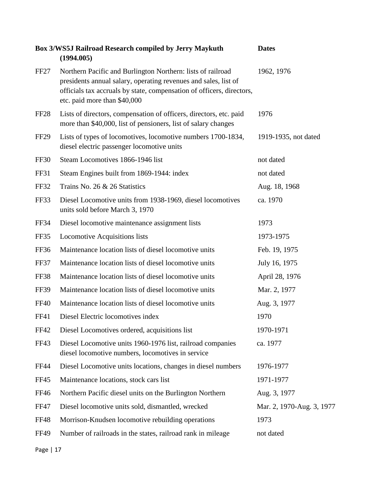|                  | Box 3/WS5J Railroad Research compiled by Jerry Maykuth<br>(1994.005)                                                                                                                                                                    | <b>Dates</b>              |
|------------------|-----------------------------------------------------------------------------------------------------------------------------------------------------------------------------------------------------------------------------------------|---------------------------|
| FF <sub>27</sub> | Northern Pacific and Burlington Northern: lists of railroad<br>presidents annual salary, operating revenues and sales, list of<br>officials tax accruals by state, compensation of officers, directors,<br>etc. paid more than \$40,000 | 1962, 1976                |
| FF <sub>28</sub> | Lists of directors, compensation of officers, directors, etc. paid<br>more than \$40,000, list of pensioners, list of salary changes                                                                                                    | 1976                      |
| <b>FF29</b>      | Lists of types of locomotives, locomotive numbers 1700-1834,<br>diesel electric passenger locomotive units                                                                                                                              | 1919-1935, not dated      |
| <b>FF30</b>      | Steam Locomotives 1866-1946 list                                                                                                                                                                                                        | not dated                 |
| <b>FF31</b>      | Steam Engines built from 1869-1944: index                                                                                                                                                                                               | not dated                 |
| <b>FF32</b>      | Trains No. 26 & 26 Statistics                                                                                                                                                                                                           | Aug. 18, 1968             |
| FF33             | Diesel Locomotive units from 1938-1969, diesel locomotives<br>units sold before March 3, 1970                                                                                                                                           | ca. 1970                  |
| FF34             | Diesel locomotive maintenance assignment lists                                                                                                                                                                                          | 1973                      |
| FF35             | <b>Locomotive Acquisitions lists</b>                                                                                                                                                                                                    | 1973-1975                 |
| <b>FF36</b>      | Maintenance location lists of diesel locomotive units                                                                                                                                                                                   | Feb. 19, 1975             |
| FF37             | Maintenance location lists of diesel locomotive units                                                                                                                                                                                   | July 16, 1975             |
| FF38             | Maintenance location lists of diesel locomotive units                                                                                                                                                                                   | April 28, 1976            |
| <b>FF39</b>      | Maintenance location lists of diesel locomotive units                                                                                                                                                                                   | Mar. 2, 1977              |
| <b>FF40</b>      | Maintenance location lists of diesel locomotive units                                                                                                                                                                                   | Aug. 3, 1977              |
| <b>FF41</b>      | Diesel Electric locomotives index                                                                                                                                                                                                       | 1970                      |
| FF42             | Diesel Locomotives ordered, acquisitions list                                                                                                                                                                                           | 1970-1971                 |
| <b>FF43</b>      | Diesel Locomotive units 1960-1976 list, railroad companies<br>diesel locomotive numbers, locomotives in service                                                                                                                         | ca. 1977                  |
| <b>FF44</b>      | Diesel Locomotive units locations, changes in diesel numbers                                                                                                                                                                            | 1976-1977                 |
| FF45             | Maintenance locations, stock cars list                                                                                                                                                                                                  | 1971-1977                 |
| <b>FF46</b>      | Northern Pacific diesel units on the Burlington Northern                                                                                                                                                                                | Aug. 3, 1977              |
| FF47             | Diesel locomotive units sold, dismantled, wrecked                                                                                                                                                                                       | Mar. 2, 1970-Aug. 3, 1977 |
| <b>FF48</b>      | Morrison-Knudsen locomotive rebuilding operations                                                                                                                                                                                       | 1973                      |
| <b>FF49</b>      | Number of railroads in the states, railroad rank in mileage                                                                                                                                                                             | not dated                 |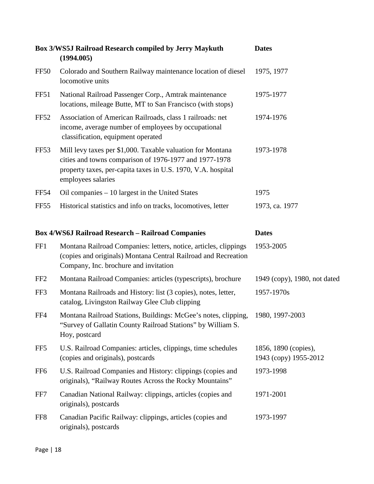|                  | Box 3/WS5J Railroad Research compiled by Jerry Maykuth<br>(1994.005)                                                                                                                                       | <b>Dates</b>                                  |
|------------------|------------------------------------------------------------------------------------------------------------------------------------------------------------------------------------------------------------|-----------------------------------------------|
| FF50             | Colorado and Southern Railway maintenance location of diesel<br>locomotive units                                                                                                                           | 1975, 1977                                    |
| FF51             | National Railroad Passenger Corp., Amtrak maintenance<br>locations, mileage Butte, MT to San Francisco (with stops)                                                                                        | 1975-1977                                     |
| <b>FF52</b>      | Association of American Railroads, class 1 railroads: net<br>income, average number of employees by occupational<br>classification, equipment operated                                                     | 1974-1976                                     |
| FF <sub>53</sub> | Mill levy taxes per \$1,000. Taxable valuation for Montana<br>cities and towns comparison of 1976-1977 and 1977-1978<br>property taxes, per-capita taxes in U.S. 1970, V.A. hospital<br>employees salaries | 1973-1978                                     |
| FF54             | Oil companies - 10 largest in the United States                                                                                                                                                            | 1975                                          |
| FF <sub>55</sub> | Historical statistics and info on tracks, locomotives, letter                                                                                                                                              | 1973, ca. 1977                                |
|                  | <b>Box 4/WS6J Railroad Research - Railroad Companies</b>                                                                                                                                                   | <b>Dates</b>                                  |
| FF1              | Montana Railroad Companies: letters, notice, articles, clippings<br>(copies and originals) Montana Central Railroad and Recreation<br>Company, Inc. brochure and invitation                                | 1953-2005                                     |
| FF <sub>2</sub>  | Montana Railroad Companies: articles (typescripts), brochure                                                                                                                                               | 1949 (copy), 1980, not dated                  |
| FF3              | Montana Railroads and History: list (3 copies), notes, letter,<br>catalog, Livingston Railway Glee Club clipping                                                                                           | 1957-1970s                                    |
| FF4              | Montana Railroad Stations, Buildings: McGee's notes, clipping,<br>"Survey of Gallatin County Railroad Stations" by William S.<br>Hoy, postcard                                                             | 1980, 1997-2003                               |
| FF5              | U.S. Railroad Companies: articles, clippings, time schedules<br>(copies and originals), postcards                                                                                                          | 1856, 1890 (copies),<br>1943 (copy) 1955-2012 |
| FF <sub>6</sub>  | U.S. Railroad Companies and History: clippings (copies and<br>originals), "Railway Routes Across the Rocky Mountains"                                                                                      | 1973-1998                                     |
| FF7              | Canadian National Railway: clippings, articles (copies and<br>originals), postcards                                                                                                                        | 1971-2001                                     |
| FF <sub>8</sub>  | Canadian Pacific Railway: clippings, articles (copies and<br>originals), postcards                                                                                                                         | 1973-1997                                     |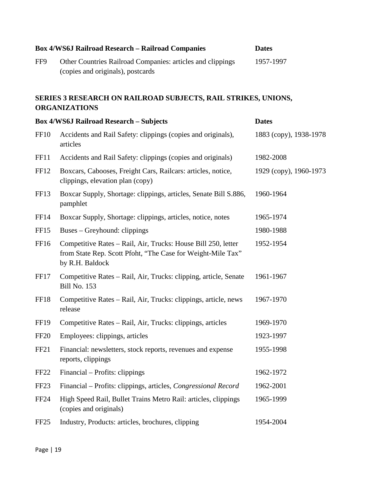|                  | <b>Box 4/WS6J Railroad Research - Railroad Companies</b>                                                                                        | <b>Dates</b>           |
|------------------|-------------------------------------------------------------------------------------------------------------------------------------------------|------------------------|
| FF9              | Other Countries Railroad Companies: articles and clippings<br>(copies and originals), postcards                                                 | 1957-1997              |
|                  | SERIES 3 RESEARCH ON RAILROAD SUBJECTS, RAIL STRIKES, UNIONS,<br><b>ORGANIZATIONS</b>                                                           |                        |
|                  | <b>Box 4/WS6J Railroad Research - Subjects</b>                                                                                                  | <b>Dates</b>           |
| <b>FF10</b>      | Accidents and Rail Safety: clippings (copies and originals),<br>articles                                                                        | 1883 (copy), 1938-1978 |
| FF11             | Accidents and Rail Safety: clippings (copies and originals)                                                                                     | 1982-2008              |
| FF12             | Boxcars, Cabooses, Freight Cars, Railcars: articles, notice,<br>clippings, elevation plan (copy)                                                | 1929 (copy), 1960-1973 |
| FF <sub>13</sub> | Boxcar Supply, Shortage: clippings, articles, Senate Bill S.886,<br>pamphlet                                                                    | 1960-1964              |
| <b>FF14</b>      | Boxcar Supply, Shortage: clippings, articles, notice, notes                                                                                     | 1965-1974              |
| FF <sub>15</sub> | Buses – Greyhound: clippings                                                                                                                    | 1980-1988              |
| FF16             | Competitive Rates - Rail, Air, Trucks: House Bill 250, letter<br>from State Rep. Scott Pfoht, "The Case for Weight-Mile Tax"<br>by R.H. Baldock | 1952-1954              |
| FF17             | Competitive Rates - Rail, Air, Trucks: clipping, article, Senate<br><b>Bill No. 153</b>                                                         | 1961-1967              |
| FF18             | Competitive Rates – Rail, Air, Trucks: clippings, article, news<br>release                                                                      | 1967-1970              |
| <b>FF19</b>      | Competitive Rates – Rail, Air, Trucks: clippings, articles                                                                                      | 1969-1970              |
| <b>FF20</b>      | Employees: clippings, articles                                                                                                                  | 1923-1997              |
| FF <sub>21</sub> | Financial: newsletters, stock reports, revenues and expense<br>reports, clippings                                                               | 1955-1998              |
| FF <sub>22</sub> | Financial – Profits: clippings                                                                                                                  | 1962-1972              |
| FF <sub>23</sub> | Financial - Profits: clippings, articles, Congressional Record                                                                                  | 1962-2001              |
| <b>FF24</b>      | High Speed Rail, Bullet Trains Metro Rail: articles, clippings<br>(copies and originals)                                                        | 1965-1999              |
| FF <sub>25</sub> | Industry, Products: articles, brochures, clipping                                                                                               | 1954-2004              |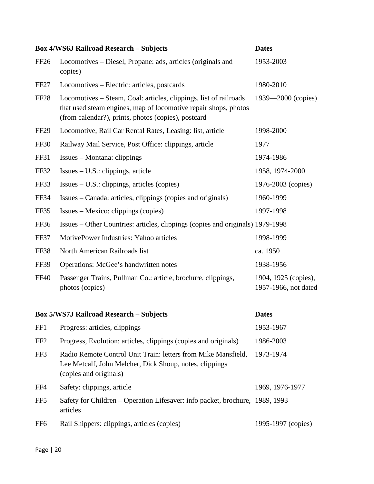|                  | <b>Box 4/WS6J Railroad Research - Subjects</b>                                                                                                                                              | <b>Dates</b>                                 |
|------------------|---------------------------------------------------------------------------------------------------------------------------------------------------------------------------------------------|----------------------------------------------|
| FF <sub>26</sub> | Locomotives – Diesel, Propane: ads, articles (originals and<br>copies)                                                                                                                      | 1953-2003                                    |
| FF <sub>27</sub> | Locomotives – Electric: articles, postcards                                                                                                                                                 | 1980-2010                                    |
| <b>FF28</b>      | Locomotives – Steam, Coal: articles, clippings, list of railroads<br>that used steam engines, map of locomotive repair shops, photos<br>(from calendar?), prints, photos (copies), postcard | $1939 - 2000$ (copies)                       |
| FF <sub>29</sub> | Locomotive, Rail Car Rental Rates, Leasing: list, article                                                                                                                                   | 1998-2000                                    |
| <b>FF30</b>      | Railway Mail Service, Post Office: clippings, article                                                                                                                                       | 1977                                         |
| FF31             | Issues – Montana: clippings                                                                                                                                                                 | 1974-1986                                    |
| <b>FF32</b>      | Issues – U.S.: clippings, article                                                                                                                                                           | 1958, 1974-2000                              |
| FF33             | $Issues – U.S.: clippings, articles (copies)$                                                                                                                                               | 1976-2003 (copies)                           |
| <b>FF34</b>      | Issues – Canada: articles, clippings (copies and originals)                                                                                                                                 | 1960-1999                                    |
| FF35             | Issues – Mexico: clippings (copies)                                                                                                                                                         | 1997-1998                                    |
| <b>FF36</b>      | Issues – Other Countries: articles, clippings (copies and originals) 1979-1998                                                                                                              |                                              |
| <b>FF37</b>      | MotivePower Industries: Yahoo articles                                                                                                                                                      | 1998-1999                                    |
| <b>FF38</b>      | North American Railroads list                                                                                                                                                               | ca. 1950                                     |
| <b>FF39</b>      | Operations: McGee's handwritten notes                                                                                                                                                       | 1938-1956                                    |
| <b>FF40</b>      | Passenger Trains, Pullman Co.: article, brochure, clippings,<br>photos (copies)                                                                                                             | 1904, 1925 (copies),<br>1957-1966, not dated |
|                  | <b>Box 5/WS7J Railroad Research - Subjects</b>                                                                                                                                              | <b>Dates</b>                                 |
| FF1              | Progress: articles, clippings                                                                                                                                                               | 1953-1967                                    |
| FF <sub>2</sub>  | Progress, Evolution: articles, clippings (copies and originals)                                                                                                                             | 1986-2003                                    |
| FF3              | Radio Remote Control Unit Train: letters from Mike Mansfield,<br>Lee Metcalf, John Melcher, Dick Shoup, notes, clippings                                                                    | 1973-1974                                    |

(copies and originals)

FF4 Safety: clippings, article 1969, 1976-1977 FF5 Safety for Children – Operation Lifesaver: info packet, brochure, 1989, 1993 articles

FF6 Rail Shippers: clippings, articles (copies) 1995-1997 (copies)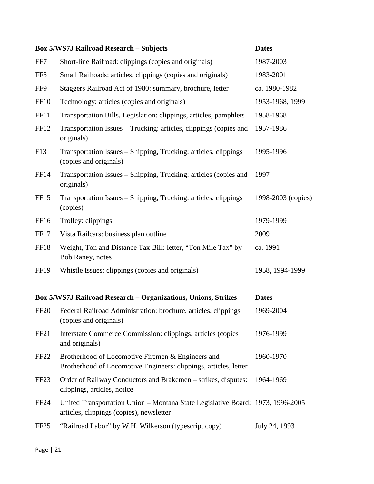|                  | <b>Box 5/WS7J Railroad Research - Subjects</b>                                                                             | <b>Dates</b>       |
|------------------|----------------------------------------------------------------------------------------------------------------------------|--------------------|
| FF7              | Short-line Railroad: clippings (copies and originals)                                                                      | 1987-2003          |
| FF <sub>8</sub>  | Small Railroads: articles, clippings (copies and originals)                                                                | 1983-2001          |
| FF9              | Staggers Railroad Act of 1980: summary, brochure, letter                                                                   | ca. 1980-1982      |
| <b>FF10</b>      | Technology: articles (copies and originals)                                                                                | 1953-1968, 1999    |
| <b>FF11</b>      | Transportation Bills, Legislation: clippings, articles, pamphlets                                                          | 1958-1968          |
| FF12             | Transportation Issues – Trucking: articles, clippings (copies and<br>originals)                                            | 1957-1986          |
| F13              | Transportation Issues – Shipping, Trucking: articles, clippings<br>(copies and originals)                                  | 1995-1996          |
| FF14             | Transportation Issues - Shipping, Trucking: articles (copies and<br>originals)                                             | 1997               |
| FF <sub>15</sub> | Transportation Issues – Shipping, Trucking: articles, clippings<br>(copies)                                                | 1998-2003 (copies) |
| FF <sub>16</sub> | Trolley: clippings                                                                                                         | 1979-1999          |
| FF17             | Vista Railcars: business plan outline                                                                                      | 2009               |
| FF18             | Weight, Ton and Distance Tax Bill: letter, "Ton Mile Tax" by<br>Bob Raney, notes                                           | ca. 1991           |
| <b>FF19</b>      | Whistle Issues: clippings (copies and originals)                                                                           | 1958, 1994-1999    |
|                  | <b>Box 5/WS7J Railroad Research - Organizations, Unions, Strikes</b>                                                       | <b>Dates</b>       |
| <b>FF20</b>      | Federal Railroad Administration: brochure, articles, clippings<br>(copies and originals)                                   | 1969-2004          |
| FF <sub>21</sub> | Interstate Commerce Commission: clippings, articles (copies<br>and originals)                                              | 1976-1999          |
| FF <sub>22</sub> | Brotherhood of Locomotive Firemen & Engineers and<br>Brotherhood of Locomotive Engineers: clippings, articles, letter      | 1960-1970          |
| FF <sub>23</sub> | Order of Railway Conductors and Brakemen - strikes, disputes:<br>clippings, articles, notice                               | 1964-1969          |
| <b>FF24</b>      | United Transportation Union - Montana State Legislative Board: 1973, 1996-2005<br>articles, clippings (copies), newsletter |                    |
| FF <sub>25</sub> | "Railroad Labor" by W.H. Wilkerson (typescript copy)                                                                       | July 24, 1993      |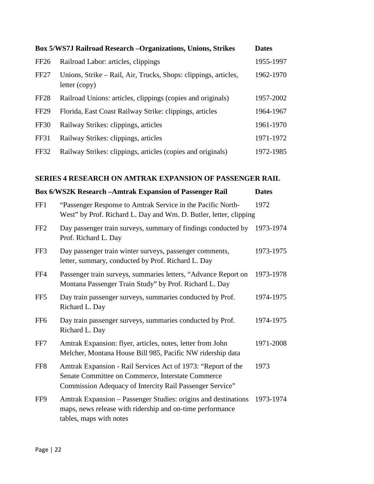|                  | Box 5/WS7J Railroad Research -Organizations, Unions, Strikes                     | <b>Dates</b> |
|------------------|----------------------------------------------------------------------------------|--------------|
| <b>FF26</b>      | Railroad Labor: articles, clippings                                              | 1955-1997    |
| <b>FF27</b>      | Unions, Strike - Rail, Air, Trucks, Shops: clippings, articles,<br>letter (copy) | 1962-1970    |
| FF <sub>28</sub> | Railroad Unions: articles, clippings (copies and originals)                      | 1957-2002    |
| <b>FF29</b>      | Florida, East Coast Railway Strike: clippings, articles                          | 1964-1967    |
| <b>FF30</b>      | Railway Strikes: clippings, articles                                             | 1961-1970    |
| FF31             | Railway Strikes: clippings, articles                                             | 1971-1972    |
| <b>FF32</b>      | Railway Strikes: clippings, articles (copies and originals)                      | 1972-1985    |

#### **SERIES 4 RESEARCH ON AMTRAK EXPANSION OF PASSENGER RAIL**

|                 | <b>Box 6/WS2K Research -Amtrak Expansion of Passenger Rail</b>                                                                                                                | <b>Dates</b> |
|-----------------|-------------------------------------------------------------------------------------------------------------------------------------------------------------------------------|--------------|
| FF1             | "Passenger Response to Amtrak Service in the Pacific North-<br>West" by Prof. Richard L. Day and Wm. D. Butler, letter, clipping                                              | 1972         |
| FF <sub>2</sub> | Day passenger train surveys, summary of findings conducted by<br>Prof. Richard L. Day                                                                                         | 1973-1974    |
| FF3             | Day passenger train winter surveys, passenger comments,<br>letter, summary, conducted by Prof. Richard L. Day                                                                 | 1973-1975    |
| FF4             | Passenger train surveys, summaries letters, "Advance Report on<br>Montana Passenger Train Study" by Prof. Richard L. Day                                                      | 1973-1978    |
| FF <sub>5</sub> | Day train passenger surveys, summaries conducted by Prof.<br>Richard L. Day                                                                                                   | 1974-1975    |
| FF <sub>6</sub> | Day train passenger surveys, summaries conducted by Prof.<br>Richard L. Day                                                                                                   | 1974-1975    |
| FF7             | Amtrak Expansion: flyer, articles, notes, letter from John<br>Melcher, Montana House Bill 985, Pacific NW ridership data                                                      | 1971-2008    |
| FF <sub>8</sub> | Amtrak Expansion - Rail Services Act of 1973: "Report of the<br>Senate Committee on Commerce, Interstate Commerce<br>Commission Adequacy of Intercity Rail Passenger Service" | 1973         |
| FF9             | Amtrak Expansion – Passenger Studies: origins and destinations<br>maps, news release with ridership and on-time performance<br>tables, maps with notes                        | 1973-1974    |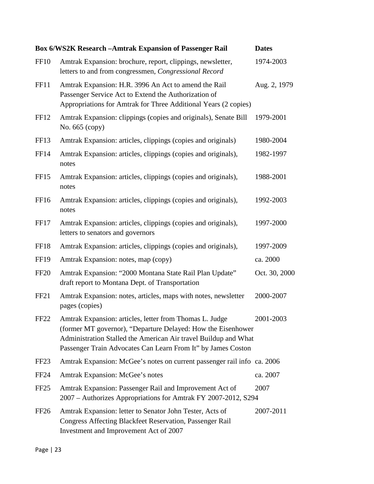|                  | <b>Box 6/WS2K Research -Amtrak Expansion of Passenger Rail</b>                                                                                                                                                                                             | <b>Dates</b>  |
|------------------|------------------------------------------------------------------------------------------------------------------------------------------------------------------------------------------------------------------------------------------------------------|---------------|
| <b>FF10</b>      | Amtrak Expansion: brochure, report, clippings, newsletter,<br>letters to and from congressmen, Congressional Record                                                                                                                                        | 1974-2003     |
| FF11             | Amtrak Expansion: H.R. 3996 An Act to amend the Rail<br>Passenger Service Act to Extend the Authorization of<br>Appropriations for Amtrak for Three Additional Years (2 copies)                                                                            | Aug. 2, 1979  |
| FF12             | Amtrak Expansion: clippings (copies and originals), Senate Bill<br>No. 665 (copy)                                                                                                                                                                          | 1979-2001     |
| FF13             | Amtrak Expansion: articles, clippings (copies and originals)                                                                                                                                                                                               | 1980-2004     |
| <b>FF14</b>      | Amtrak Expansion: articles, clippings (copies and originals),<br>notes                                                                                                                                                                                     | 1982-1997     |
| FF <sub>15</sub> | Amtrak Expansion: articles, clippings (copies and originals),<br>notes                                                                                                                                                                                     | 1988-2001     |
| FF16             | Amtrak Expansion: articles, clippings (copies and originals),<br>notes                                                                                                                                                                                     | 1992-2003     |
| FF17             | Amtrak Expansion: articles, clippings (copies and originals),<br>letters to senators and governors                                                                                                                                                         | 1997-2000     |
| <b>FF18</b>      | Amtrak Expansion: articles, clippings (copies and originals),                                                                                                                                                                                              | 1997-2009     |
| <b>FF19</b>      | Amtrak Expansion: notes, map (copy)                                                                                                                                                                                                                        | ca. 2000      |
| <b>FF20</b>      | Amtrak Expansion: "2000 Montana State Rail Plan Update"<br>draft report to Montana Dept. of Transportation                                                                                                                                                 | Oct. 30, 2000 |
| FF <sub>21</sub> | Amtrak Expansion: notes, articles, maps with notes, newsletter<br>pages (copies)                                                                                                                                                                           | 2000-2007     |
| <b>FF22</b>      | Amtrak Expansion: articles, letter from Thomas L. Judge<br>(former MT governor), "Departure Delayed: How the Eisenhower<br>Administration Stalled the American Air travel Buildup and What<br>Passenger Train Advocates Can Learn From It" by James Coston | 2001-2003     |
| FF <sub>23</sub> | Amtrak Expansion: McGee's notes on current passenger rail info ca. 2006                                                                                                                                                                                    |               |
| <b>FF24</b>      | Amtrak Expansion: McGee's notes                                                                                                                                                                                                                            | ca. 2007      |
| FF <sub>25</sub> | Amtrak Expansion: Passenger Rail and Improvement Act of<br>2007 - Authorizes Appropriations for Amtrak FY 2007-2012, S294                                                                                                                                  | 2007          |
| FF <sub>26</sub> | Amtrak Expansion: letter to Senator John Tester, Acts of<br>Congress Affecting Blackfeet Reservation, Passenger Rail<br>Investment and Improvement Act of 2007                                                                                             | 2007-2011     |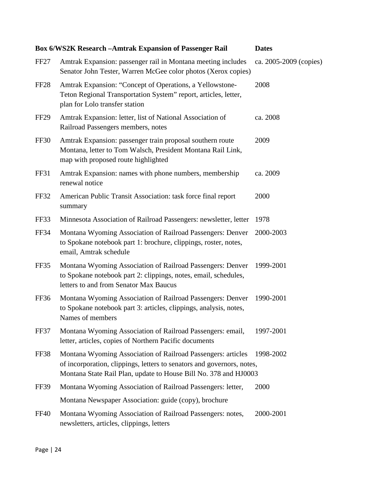|                  | <b>Box 6/WS2K Research -Amtrak Expansion of Passenger Rail</b>                                                                                                                                             | <b>Dates</b>           |
|------------------|------------------------------------------------------------------------------------------------------------------------------------------------------------------------------------------------------------|------------------------|
| FF <sub>27</sub> | Amtrak Expansion: passenger rail in Montana meeting includes<br>Senator John Tester, Warren McGee color photos (Xerox copies)                                                                              | ca. 2005-2009 (copies) |
| FF <sub>28</sub> | Amtrak Expansion: "Concept of Operations, a Yellowstone-<br>Teton Regional Transportation System" report, articles, letter,<br>plan for Lolo transfer station                                              | 2008                   |
| FF <sub>29</sub> | Amtrak Expansion: letter, list of National Association of<br>Railroad Passengers members, notes                                                                                                            | ca. 2008               |
| FF30             | Amtrak Expansion: passenger train proposal southern route<br>Montana, letter to Tom Walsch, President Montana Rail Link,<br>map with proposed route highlighted                                            | 2009                   |
| <b>FF31</b>      | Amtrak Expansion: names with phone numbers, membership<br>renewal notice                                                                                                                                   | ca. 2009               |
| <b>FF32</b>      | American Public Transit Association: task force final report<br>summary                                                                                                                                    | 2000                   |
| FF33             | Minnesota Association of Railroad Passengers: newsletter, letter                                                                                                                                           | 1978                   |
| FF34             | Montana Wyoming Association of Railroad Passengers: Denver<br>to Spokane notebook part 1: brochure, clippings, roster, notes,<br>email, Amtrak schedule                                                    | 2000-2003              |
| FF35             | Montana Wyoming Association of Railroad Passengers: Denver<br>to Spokane notebook part 2: clippings, notes, email, schedules,<br>letters to and from Senator Max Baucus                                    | 1999-2001              |
| FF36             | Montana Wyoming Association of Railroad Passengers: Denver<br>to Spokane notebook part 3: articles, clippings, analysis, notes,<br>Names of members                                                        | 1990-2001              |
| FF37             | Montana Wyoming Association of Railroad Passengers: email,<br>letter, articles, copies of Northern Pacific documents                                                                                       | 1997-2001              |
| FF38             | Montana Wyoming Association of Railroad Passengers: articles<br>of incorporation, clippings, letters to senators and governors, notes,<br>Montana State Rail Plan, update to House Bill No. 378 and HJ0003 | 1998-2002              |
| <b>FF39</b>      | Montana Wyoming Association of Railroad Passengers: letter,                                                                                                                                                | 2000                   |
|                  | Montana Newspaper Association: guide (copy), brochure                                                                                                                                                      |                        |
| <b>FF40</b>      | Montana Wyoming Association of Railroad Passengers: notes,<br>newsletters, articles, clippings, letters                                                                                                    | 2000-2001              |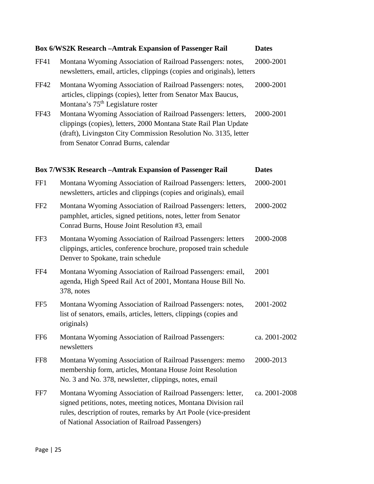|                 | <b>Box 6/WS2K Research -Amtrak Expansion of Passenger Rail</b>                                                                                                                                                                             | <b>Dates</b>  |
|-----------------|--------------------------------------------------------------------------------------------------------------------------------------------------------------------------------------------------------------------------------------------|---------------|
| FF41            | Montana Wyoming Association of Railroad Passengers: notes,<br>newsletters, email, articles, clippings (copies and originals), letters                                                                                                      | 2000-2001     |
| FF42            | Montana Wyoming Association of Railroad Passengers: notes,<br>articles, clippings (copies), letter from Senator Max Baucus,<br>Montana's 75 <sup>th</sup> Legislature roster                                                               | 2000-2001     |
| FF43            | Montana Wyoming Association of Railroad Passengers: letters,<br>clippings (copies), letters, 2000 Montana State Rail Plan Update<br>(draft), Livingston City Commission Resolution No. 3135, letter<br>from Senator Conrad Burns, calendar | 2000-2001     |
|                 | <b>Box 7/WS3K Research -Amtrak Expansion of Passenger Rail</b>                                                                                                                                                                             | <b>Dates</b>  |
| FF1             | Montana Wyoming Association of Railroad Passengers: letters,<br>newsletters, articles and clippings (copies and originals), email                                                                                                          | 2000-2001     |
| FF <sub>2</sub> | Montana Wyoming Association of Railroad Passengers: letters,<br>pamphlet, articles, signed petitions, notes, letter from Senator<br>Conrad Burns, House Joint Resolution #3, email                                                         | 2000-2002     |
| FF3             | Montana Wyoming Association of Railroad Passengers: letters<br>clippings, articles, conference brochure, proposed train schedule<br>Denver to Spokane, train schedule                                                                      | 2000-2008     |
| FF4             | Montana Wyoming Association of Railroad Passengers: email,<br>agenda, High Speed Rail Act of 2001, Montana House Bill No.<br>378, notes                                                                                                    | 2001          |
| FF <sub>5</sub> | Montana Wyoming Association of Railroad Passengers: notes,<br>list of senators, emails, articles, letters, clippings (copies and<br>originals)                                                                                             | 2001-2002     |
| FF <sub>6</sub> | Montana Wyoming Association of Railroad Passengers:<br>newsletters                                                                                                                                                                         | ca. 2001-2002 |
| FF8             | Montana Wyoming Association of Railroad Passengers: memo<br>membership form, articles, Montana House Joint Resolution<br>No. 3 and No. 378, newsletter, clippings, notes, email                                                            | 2000-2013     |
| FF7             | Montana Wyoming Association of Railroad Passengers: letter,<br>signed petitions, notes, meeting notices, Montana Division rail<br>rules, description of routes, remarks by Art Poole (vice-president                                       | ca. 2001-2008 |

of National Association of Railroad Passengers)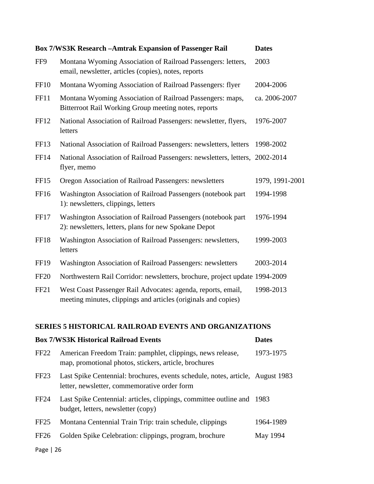|                  | <b>Box 7/WS3K Research -Amtrak Expansion of Passenger Rail</b>                                                                 | <b>Dates</b>    |
|------------------|--------------------------------------------------------------------------------------------------------------------------------|-----------------|
| FF9              | Montana Wyoming Association of Railroad Passengers: letters,<br>email, newsletter, articles (copies), notes, reports           | 2003            |
| <b>FF10</b>      | Montana Wyoming Association of Railroad Passengers: flyer                                                                      | 2004-2006       |
| <b>FF11</b>      | Montana Wyoming Association of Railroad Passengers: maps,<br>Bitterroot Rail Working Group meeting notes, reports              | ca. 2006-2007   |
| FF12             | National Association of Railroad Passengers: newsletter, flyers,<br>letters                                                    | 1976-2007       |
| FF13             | National Association of Railroad Passengers: newsletters, letters                                                              | 1998-2002       |
| FF14             | National Association of Railroad Passengers: newsletters, letters, 2002-2014<br>flyer, memo                                    |                 |
| FF15             | Oregon Association of Railroad Passengers: newsletters                                                                         | 1979, 1991-2001 |
| FF16             | Washington Association of Railroad Passengers (notebook part<br>1): newsletters, clippings, letters                            | 1994-1998       |
| FF17             | Washington Association of Railroad Passengers (notebook part<br>2): newsletters, letters, plans for new Spokane Depot          | 1976-1994       |
| FF18             | Washington Association of Railroad Passengers: newsletters,<br>letters                                                         | 1999-2003       |
| <b>FF19</b>      | Washington Association of Railroad Passengers: newsletters                                                                     | 2003-2014       |
| <b>FF20</b>      | Northwestern Rail Corridor: newsletters, brochure, project update 1994-2009                                                    |                 |
| FF <sub>21</sub> | West Coast Passenger Rail Advocates: agenda, reports, email,<br>meeting minutes, clippings and articles (originals and copies) | 1998-2013       |

#### **SERIES 5 HISTORICAL RAILROAD EVENTS AND ORGANIZATIONS**

|                  | <b>Box 7/WS3K Historical Railroad Events</b>                                                                                   | <b>Dates</b> |
|------------------|--------------------------------------------------------------------------------------------------------------------------------|--------------|
| FF <sub>22</sub> | American Freedom Train: pamphlet, clippings, news release,<br>map, promotional photos, stickers, article, brochures            | 1973-1975    |
| FF <sub>23</sub> | Last Spike Centennial: brochures, events schedule, notes, article, August 1983<br>letter, newsletter, commemorative order form |              |
| <b>FF24</b>      | Last Spike Centennial: articles, clippings, committee outline and 1983<br>budget, letters, newsletter (copy)                   |              |
| FF <sub>25</sub> | Montana Centennial Train Trip: train schedule, clippings                                                                       | 1964-1989    |
| FF26             | Golden Spike Celebration: clippings, program, brochure                                                                         | May 1994     |
|                  |                                                                                                                                |              |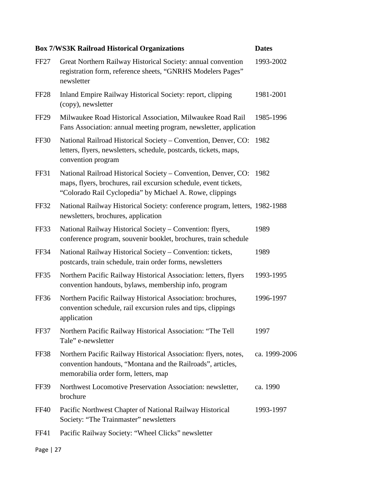|                  | <b>Box 7/WS3K Railroad Historical Organizations</b>                                                                                                                                            | <b>Dates</b>  |
|------------------|------------------------------------------------------------------------------------------------------------------------------------------------------------------------------------------------|---------------|
| <b>FF27</b>      | Great Northern Railway Historical Society: annual convention<br>registration form, reference sheets, "GNRHS Modelers Pages"<br>newsletter                                                      | 1993-2002     |
| FF <sub>28</sub> | Inland Empire Railway Historical Society: report, clipping<br>(copy), newsletter                                                                                                               | 1981-2001     |
| FF <sub>29</sub> | Milwaukee Road Historical Association, Milwaukee Road Rail<br>Fans Association: annual meeting program, newsletter, application                                                                | 1985-1996     |
| FF30             | National Railroad Historical Society – Convention, Denver, CO: 1982<br>letters, flyers, newsletters, schedule, postcards, tickets, maps,<br>convention program                                 |               |
| FF31             | National Railroad Historical Society - Convention, Denver, CO:<br>maps, flyers, brochures, rail excursion schedule, event tickets,<br>"Colorado Rail Cyclopedia" by Michael A. Rowe, clippings | 1982          |
| <b>FF32</b>      | National Railway Historical Society: conference program, letters, 1982-1988<br>newsletters, brochures, application                                                                             |               |
| FF33             | National Railway Historical Society - Convention: flyers,<br>conference program, souvenir booklet, brochures, train schedule                                                                   | 1989          |
| FF34             | National Railway Historical Society – Convention: tickets,<br>postcards, train schedule, train order forms, newsletters                                                                        | 1989          |
| FF35             | Northern Pacific Railway Historical Association: letters, flyers<br>convention handouts, bylaws, membership info, program                                                                      | 1993-1995     |
| FF36             | Northern Pacific Railway Historical Association: brochures,<br>convention schedule, rail excursion rules and tips, clippings<br>application                                                    | 1996-1997     |
| FF37             | Northern Pacific Railway Historical Association: "The Tell<br>Tale" e-newsletter                                                                                                               | 1997          |
| FF38             | Northern Pacific Railway Historical Association: flyers, notes,<br>convention handouts, "Montana and the Railroads", articles,<br>memorabilia order form, letters, map                         | ca. 1999-2006 |
| <b>FF39</b>      | Northwest Locomotive Preservation Association: newsletter,<br>brochure                                                                                                                         | ca. 1990      |
| <b>FF40</b>      | Pacific Northwest Chapter of National Railway Historical<br>Society: "The Trainmaster" newsletters                                                                                             | 1993-1997     |
| FF41             | Pacific Railway Society: "Wheel Clicks" newsletter                                                                                                                                             |               |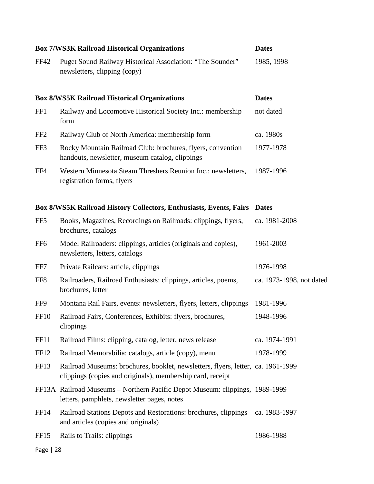|                  | <b>Box 7/WS3K Railroad Historical Organizations</b>                                                                                            | <b>Dates</b>             |
|------------------|------------------------------------------------------------------------------------------------------------------------------------------------|--------------------------|
| <b>FF42</b>      | Puget Sound Railway Historical Association: "The Sounder"<br>newsletters, clipping (copy)                                                      | 1985, 1998               |
|                  | <b>Box 8/WS5K Railroad Historical Organizations</b>                                                                                            | <b>Dates</b>             |
| FF1              | Railway and Locomotive Historical Society Inc.: membership<br>form                                                                             | not dated                |
| FF <sub>2</sub>  | Railway Club of North America: membership form                                                                                                 | ca. 1980s                |
| FF3              | Rocky Mountain Railroad Club: brochures, flyers, convention<br>handouts, newsletter, museum catalog, clippings                                 | 1977-1978                |
| FF4              | Western Minnesota Steam Threshers Reunion Inc.: newsletters,<br>registration forms, flyers                                                     | 1987-1996                |
|                  | <b>Box 8/WS5K Railroad History Collectors, Enthusiasts, Events, Fairs</b>                                                                      | <b>Dates</b>             |
| FF <sub>5</sub>  | Books, Magazines, Recordings on Railroads: clippings, flyers,<br>brochures, catalogs                                                           | ca. 1981-2008            |
| FF <sub>6</sub>  | Model Railroaders: clippings, articles (originals and copies),<br>newsletters, letters, catalogs                                               | 1961-2003                |
| FF7              | Private Railcars: article, clippings                                                                                                           | 1976-1998                |
| FF8              | Railroaders, Railroad Enthusiasts: clippings, articles, poems,<br>brochures, letter                                                            | ca. 1973-1998, not dated |
| FF9              | Montana Rail Fairs, events: newsletters, flyers, letters, clippings                                                                            | 1981-1996                |
| <b>FF10</b>      | Railroad Fairs, Conferences, Exhibits: flyers, brochures,<br>clippings                                                                         | 1948-1996                |
| FF11             | Railroad Films: clipping, catalog, letter, news release                                                                                        | ca. 1974-1991            |
| FF12             | Railroad Memorabilia: catalogs, article (copy), menu                                                                                           | 1978-1999                |
| FF13             | Railroad Museums: brochures, booklet, newsletters, flyers, letter, ca. 1961-1999<br>clippings (copies and originals), membership card, receipt |                          |
|                  | FF13A Railroad Museums - Northern Pacific Depot Museum: clippings, 1989-1999<br>letters, pamphlets, newsletter pages, notes                    |                          |
| FF <sub>14</sub> | Railroad Stations Depots and Restorations: brochures, clippings<br>and articles (copies and originals)                                         | ca. 1983-1997            |
| FF <sub>15</sub> | Rails to Trails: clippings                                                                                                                     | 1986-1988                |
| Page   28        |                                                                                                                                                |                          |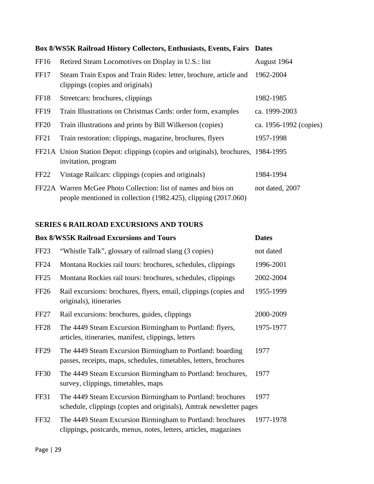|                  | Box 8/WS5K Railroad History Collectors, Enthusiasts, Events, Fairs Dates                                                         |                        |
|------------------|----------------------------------------------------------------------------------------------------------------------------------|------------------------|
| FF <sub>16</sub> | Retired Steam Locomotives on Display in U.S.: list                                                                               | August 1964            |
| FF17             | Steam Train Expos and Train Rides: letter, brochure, article and<br>clippings (copies and originals)                             | 1962-2004              |
| FF18             | Streetcars: brochures, clippings                                                                                                 | 1982-1985              |
| <b>FF19</b>      | Train Illustrations on Christmas Cards: order form, examples                                                                     | ca. 1999-2003          |
| FF <sub>20</sub> | Train illustrations and prints by Bill Wilkerson (copies)                                                                        | ca. 1956-1992 (copies) |
| FF <sub>21</sub> | Train restoration: clippings, magazine, brochures, flyers                                                                        | 1957-1998              |
|                  | FF21A Union Station Depot: clippings (copies and originals), brochures, 1984-1995<br>invitation, program                         |                        |
| FF <sub>22</sub> | Vintage Railcars: clippings (copies and originals)                                                                               | 1984-1994              |
|                  | FF22A Warren McGee Photo Collection: list of names and bios on<br>people mentioned in collection (1982.425), clipping (2017.060) | not dated, 2007        |

#### **SERIES 6 RAILROAD EXCURSIONS AND TOURS**

|                  | <b>Box 8/WS5K Railroad Excursions and Tours</b>                                                                                   | <b>Dates</b> |
|------------------|-----------------------------------------------------------------------------------------------------------------------------------|--------------|
| FF <sub>23</sub> | "Whistle Talk", glossary of railroad slang (3 copies)                                                                             | not dated    |
| <b>FF24</b>      | Montana Rockies rail tours: brochures, schedules, clippings                                                                       | 1996-2001    |
| FF <sub>25</sub> | Montana Rockies rail tours: brochures, schedules, clippings                                                                       | 2002-2004    |
| <b>FF26</b>      | Rail excursions: brochures, flyers, email, clippings (copies and<br>originals), itineraries                                       | 1955-1999    |
| FF <sub>27</sub> | Rail excursions: brochures, guides, clippings                                                                                     | 2000-2009    |
| <b>FF28</b>      | The 4449 Steam Excursion Birmingham to Portland: flyers,<br>articles, itineraries, manifest, clippings, letters                   | 1975-1977    |
| FF <sub>29</sub> | The 4449 Steam Excursion Birmingham to Portland: boarding<br>passes, receipts, maps, schedules, timetables, letters, brochures    | 1977         |
| FF30             | The 4449 Steam Excursion Birmingham to Portland: brochures,<br>survey, clippings, timetables, maps                                | 1977         |
| FF31             | The 4449 Steam Excursion Birmingham to Portland: brochures<br>schedule, clippings (copies and originals), Amtrak newsletter pages | 1977         |
| <b>FF32</b>      | The 4449 Steam Excursion Birmingham to Portland: brochures<br>clippings, postcards, menus, notes, letters, articles, magazines    | 1977-1978    |

#### **Box 8/WS5K Railroad History Collectors, Enthusiasts, Events, Fairs Dates**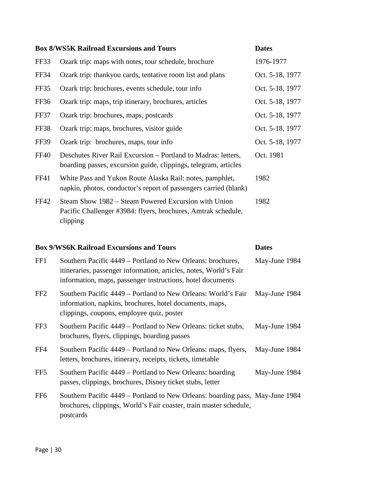|             | <b>Box 8/WS5K Railroad Excursions and Tours</b>                                                                                   | <b>Dates</b>    |
|-------------|-----------------------------------------------------------------------------------------------------------------------------------|-----------------|
| FF33        | Ozark trip: maps with notes, tour schedule, brochure                                                                              | 1976-1977       |
| FF34        | Ozark trip: thankyou cards, tentative room list and plans                                                                         | Oct. 5-18, 1977 |
| FF35        | Ozark trip: brochures, events schedule, tour info                                                                                 | Oct. 5-18, 1977 |
| FF36        | Ozark trip: maps, trip itinerary, brochures, articles                                                                             | Oct. 5-18, 1977 |
| FF37        | Ozark trip: brochures, maps, postcards                                                                                            | Oct. 5-18, 1977 |
| FF38        | Ozark trip: maps, brochures, visitor guide                                                                                        | Oct. 5-18, 1977 |
| <b>FF39</b> | Ozark trip: brochures, maps, tour info                                                                                            | Oct. 5-18, 1977 |
| <b>FF40</b> | Deschutes River Rail Excursion – Portland to Madras: letters,<br>boarding passes, excursion guide, clippings, telegram, articles  | Oct. 1981       |
| FF41        | White Pass and Yukon Route Alaska Rail: notes, pamphlet,<br>napkin, photos, conductor's report of passengers carried (blank)      | 1982            |
| FF42        | Steam Show 1982 – Steam Powered Excursion with Union<br>Pacific Challenger #3984: flyers, brochures, Amtrak schedule,<br>clipping | 1982            |

### **Box 9/WS6K Railroad Excursions and Tours Dates**

| FF1             | Southern Pacific 4449 – Portland to New Orleans: brochures,<br>itineraries, passenger information, articles, notes, World's Fair<br>information, maps, passenger instructions, hotel documents | May-June 1984 |
|-----------------|------------------------------------------------------------------------------------------------------------------------------------------------------------------------------------------------|---------------|
| FF <sub>2</sub> | Southern Pacific 4449 – Portland to New Orleans: World's Fair<br>information, napkins, brochures, hotel documents, maps,<br>clippings, coupons, employee quiz, poster                          | May-June 1984 |
| FF3             | Southern Pacific 4449 – Portland to New Orleans: ticket stubs,<br>brochures, flyers, clippings, boarding passes                                                                                | May-June 1984 |
| FF4             | Southern Pacific 4449 – Portland to New Orleans: maps, flyers,<br>letters, brochures, itinerary, receipts, tickets, timetable                                                                  | May-June 1984 |
| FF <sub>5</sub> | Southern Pacific 4449 – Portland to New Orleans: boarding<br>passes, clippings, brochures, Disney ticket stubs, letter                                                                         | May-June 1984 |
| FF <sub>6</sub> | Southern Pacific 4449 – Portland to New Orleans: boarding pass, May-June 1984<br>brochures, clippings, World's Fair coaster, train master schedule,<br>postcards                               |               |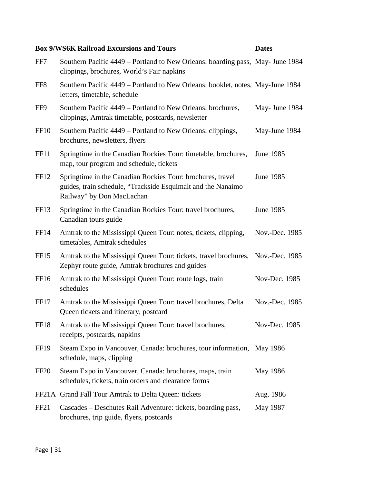#### **Box 9/WS6K Railroad Excursions and Tours Dates**

| FF7              | Southern Pacific 4449 – Portland to New Orleans: boarding pass, May- June 1984<br>clippings, brochures, World's Fair napkins                            |                |
|------------------|---------------------------------------------------------------------------------------------------------------------------------------------------------|----------------|
| FF <sub>8</sub>  | Southern Pacific 4449 - Portland to New Orleans: booklet, notes, May-June 1984<br>letters, timetable, schedule                                          |                |
| FF9              | Southern Pacific 4449 – Portland to New Orleans: brochures,<br>clippings, Amtrak timetable, postcards, newsletter                                       | May- June 1984 |
| <b>FF10</b>      | Southern Pacific 4449 – Portland to New Orleans: clippings,<br>brochures, newsletters, flyers                                                           | May-June 1984  |
| FF11             | Springtime in the Canadian Rockies Tour: timetable, brochures,<br>map, tour program and schedule, tickets                                               | June 1985      |
| FF <sub>12</sub> | Springtime in the Canadian Rockies Tour: brochures, travel<br>guides, train schedule, "Trackside Esquimalt and the Nanaimo<br>Railway" by Don MacLachan | June 1985      |
| FF13             | Springtime in the Canadian Rockies Tour: travel brochures,<br>Canadian tours guide                                                                      | June 1985      |
| FF <sub>14</sub> | Amtrak to the Mississippi Queen Tour: notes, tickets, clipping,<br>timetables, Amtrak schedules                                                         | Nov.-Dec. 1985 |
| FF <sub>15</sub> | Amtrak to the Mississippi Queen Tour: tickets, travel brochures, Nov.-Dec. 1985<br>Zephyr route guide, Amtrak brochures and guides                      |                |
| FF <sub>16</sub> | Amtrak to the Mississippi Queen Tour: route logs, train<br>schedules                                                                                    | Nov-Dec. 1985  |
| FF17             | Amtrak to the Mississippi Queen Tour: travel brochures, Delta<br>Queen tickets and itinerary, postcard                                                  | Nov.-Dec. 1985 |
| FF18             | Amtrak to the Mississippi Queen Tour: travel brochures,<br>receipts, postcards, napkins                                                                 | Nov-Dec. 1985  |
| <b>FF19</b>      | Steam Expo in Vancouver, Canada: brochures, tour information, May 1986<br>schedule, maps, clipping                                                      |                |
| FF <sub>20</sub> | Steam Expo in Vancouver, Canada: brochures, maps, train<br>schedules, tickets, train orders and clearance forms                                         | May 1986       |
|                  | FF21A Grand Fall Tour Amtrak to Delta Queen: tickets                                                                                                    | Aug. 1986      |
| FF <sub>21</sub> | Cascades – Deschutes Rail Adventure: tickets, boarding pass,<br>brochures, trip guide, flyers, postcards                                                | May 1987       |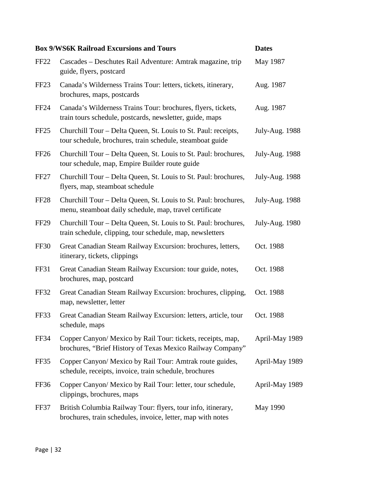|                  | <b>Box 9/WS6K Railroad Excursions and Tours</b>                                                                              | <b>Dates</b>          |
|------------------|------------------------------------------------------------------------------------------------------------------------------|-----------------------|
| <b>FF22</b>      | Cascades – Deschutes Rail Adventure: Amtrak magazine, trip<br>guide, flyers, postcard                                        | May 1987              |
| FF <sub>23</sub> | Canada's Wilderness Trains Tour: letters, tickets, itinerary,<br>brochures, maps, postcards                                  | Aug. 1987             |
| <b>FF24</b>      | Canada's Wilderness Trains Tour: brochures, flyers, tickets,<br>train tours schedule, postcards, newsletter, guide, maps     | Aug. 1987             |
| FF <sub>25</sub> | Churchill Tour – Delta Queen, St. Louis to St. Paul: receipts,<br>tour schedule, brochures, train schedule, steamboat guide  | <b>July-Aug. 1988</b> |
| FF <sub>26</sub> | Churchill Tour – Delta Queen, St. Louis to St. Paul: brochures,<br>tour schedule, map, Empire Builder route guide            | <b>July-Aug. 1988</b> |
| FF <sub>27</sub> | Churchill Tour - Delta Queen, St. Louis to St. Paul: brochures,<br>flyers, map, steamboat schedule                           | July-Aug. 1988        |
| FF <sub>28</sub> | Churchill Tour – Delta Queen, St. Louis to St. Paul: brochures,<br>menu, steamboat daily schedule, map, travel certificate   | July-Aug. 1988        |
| <b>FF29</b>      | Churchill Tour – Delta Queen, St. Louis to St. Paul: brochures,<br>train schedule, clipping, tour schedule, map, newsletters | July-Aug. 1980        |
| <b>FF30</b>      | Great Canadian Steam Railway Excursion: brochures, letters,<br>itinerary, tickets, clippings                                 | Oct. 1988             |
| FF31             | Great Canadian Steam Railway Excursion: tour guide, notes,<br>brochures, map, postcard                                       | Oct. 1988             |
| FF32             | Great Canadian Steam Railway Excursion: brochures, clipping,<br>map, newsletter, letter                                      | Oct. 1988             |
| FF33             | Great Canadian Steam Railway Excursion: letters, article, tour<br>schedule, maps                                             | Oct. 1988             |
| FF34             | Copper Canyon/ Mexico by Rail Tour: tickets, receipts, map,<br>brochures, "Brief History of Texas Mexico Railway Company"    | April-May 1989        |
| FF35             | Copper Canyon/ Mexico by Rail Tour: Amtrak route guides,<br>schedule, receipts, invoice, train schedule, brochures           | April-May 1989        |
| FF36             | Copper Canyon/ Mexico by Rail Tour: letter, tour schedule,<br>clippings, brochures, maps                                     | April-May 1989        |
| FF37             | British Columbia Railway Tour: flyers, tour info, itinerary,<br>brochures, train schedules, invoice, letter, map with notes  | May 1990              |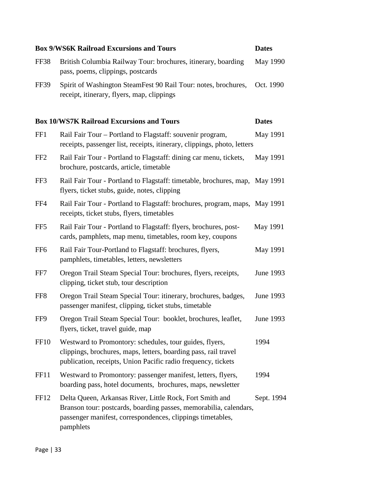|                  | <b>Box 9/WS6K Railroad Excursions and Tours</b>                                                                                                                                                          | <b>Dates</b> |
|------------------|----------------------------------------------------------------------------------------------------------------------------------------------------------------------------------------------------------|--------------|
| FF38             | British Columbia Railway Tour: brochures, itinerary, boarding<br>pass, poems, clippings, postcards                                                                                                       | May 1990     |
| <b>FF39</b>      | Spirit of Washington SteamFest 90 Rail Tour: notes, brochures,<br>receipt, itinerary, flyers, map, clippings                                                                                             | Oct. 1990    |
|                  | <b>Box 10/WS7K Railroad Excursions and Tours</b>                                                                                                                                                         | <b>Dates</b> |
| FF1              | Rail Fair Tour – Portland to Flagstaff: souvenir program,<br>receipts, passenger list, receipts, itinerary, clippings, photo, letters                                                                    | May 1991     |
| FF <sub>2</sub>  | Rail Fair Tour - Portland to Flagstaff: dining car menu, tickets,<br>brochure, postcards, article, timetable                                                                                             | May 1991     |
| FF3              | Rail Fair Tour - Portland to Flagstaff: timetable, brochures, map, May 1991<br>flyers, ticket stubs, guide, notes, clipping                                                                              |              |
| FF4              | Rail Fair Tour - Portland to Flagstaff: brochures, program, maps, May 1991<br>receipts, ticket stubs, flyers, timetables                                                                                 |              |
| FF <sub>5</sub>  | Rail Fair Tour - Portland to Flagstaff: flyers, brochures, post-<br>cards, pamphlets, map menu, timetables, room key, coupons                                                                            | May 1991     |
| FF <sub>6</sub>  | Rail Fair Tour-Portland to Flagstaff: brochures, flyers,<br>pamphlets, timetables, letters, newsletters                                                                                                  | May 1991     |
| FF7              | Oregon Trail Steam Special Tour: brochures, flyers, receipts,<br>clipping, ticket stub, tour description                                                                                                 | June 1993    |
| FF <sub>8</sub>  | Oregon Trail Steam Special Tour: itinerary, brochures, badges,<br>passenger manifest, clipping, ticket stubs, timetable                                                                                  | June 1993    |
| FF9              | Oregon Trail Steam Special Tour: booklet, brochures, leaflet, June 1993<br>flyers, ticket, travel guide, map                                                                                             |              |
| FF <sub>10</sub> | Westward to Promontory: schedules, tour guides, flyers,<br>clippings, brochures, maps, letters, boarding pass, rail travel<br>publication, receipts, Union Pacific radio frequency, tickets              | 1994         |
| FF11             | Westward to Promontory: passenger manifest, letters, flyers,<br>boarding pass, hotel documents, brochures, maps, newsletter                                                                              | 1994         |
| <b>FF12</b>      | Delta Queen, Arkansas River, Little Rock, Fort Smith and<br>Branson tour: postcards, boarding passes, memorabilia, calendars,<br>passenger manifest, correspondences, clippings timetables,<br>pamphlets | Sept. 1994   |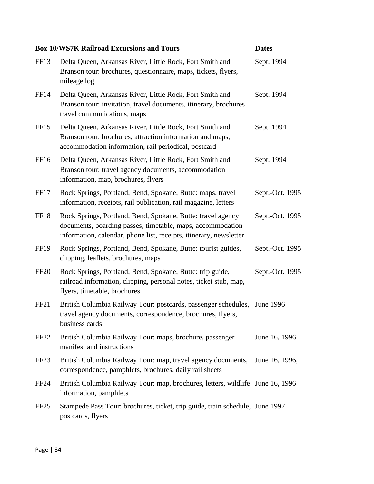|                  | <b>Box 10/WS7K Railroad Excursions and Tours</b>                                                                                                                                                | <b>Dates</b>    |
|------------------|-------------------------------------------------------------------------------------------------------------------------------------------------------------------------------------------------|-----------------|
| FF13             | Delta Queen, Arkansas River, Little Rock, Fort Smith and<br>Branson tour: brochures, questionnaire, maps, tickets, flyers,<br>mileage log                                                       | Sept. 1994      |
| FF14             | Delta Queen, Arkansas River, Little Rock, Fort Smith and<br>Branson tour: invitation, travel documents, itinerary, brochures<br>travel communications, maps                                     | Sept. 1994      |
| FF <sub>15</sub> | Delta Queen, Arkansas River, Little Rock, Fort Smith and<br>Branson tour: brochures, attraction information and maps,<br>accommodation information, rail periodical, postcard                   | Sept. 1994      |
| FF <sub>16</sub> | Delta Queen, Arkansas River, Little Rock, Fort Smith and<br>Branson tour: travel agency documents, accommodation<br>information, map, brochures, flyers                                         | Sept. 1994      |
| FF17             | Rock Springs, Portland, Bend, Spokane, Butte: maps, travel<br>information, receipts, rail publication, rail magazine, letters                                                                   | Sept.-Oct. 1995 |
| <b>FF18</b>      | Rock Springs, Portland, Bend, Spokane, Butte: travel agency<br>documents, boarding passes, timetable, maps, accommodation<br>information, calendar, phone list, receipts, itinerary, newsletter | Sept.-Oct. 1995 |
| FF <sub>19</sub> | Rock Springs, Portland, Bend, Spokane, Butte: tourist guides,<br>clipping, leaflets, brochures, maps                                                                                            | Sept.-Oct. 1995 |
| <b>FF20</b>      | Rock Springs, Portland, Bend, Spokane, Butte: trip guide,<br>railroad information, clipping, personal notes, ticket stub, map,<br>flyers, timetable, brochures                                  | Sept.-Oct. 1995 |
| FF <sub>21</sub> | British Columbia Railway Tour: postcards, passenger schedules,<br>travel agency documents, correspondence, brochures, flyers,<br>business cards                                                 | June 1996       |
| FF <sub>22</sub> | British Columbia Railway Tour: maps, brochure, passenger<br>manifest and instructions                                                                                                           | June 16, 1996   |
| FF <sub>23</sub> | British Columbia Railway Tour: map, travel agency documents,<br>correspondence, pamphlets, brochures, daily rail sheets                                                                         | June 16, 1996,  |
| <b>FF24</b>      | British Columbia Railway Tour: map, brochures, letters, wildlife June 16, 1996<br>information, pamphlets                                                                                        |                 |
| FF <sub>25</sub> | Stampede Pass Tour: brochures, ticket, trip guide, train schedule, June 1997<br>postcards, flyers                                                                                               |                 |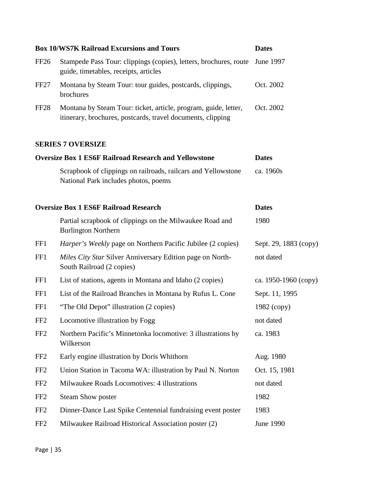|                  | <b>Box 10/WS7K Railroad Excursions and Tours</b>                                                                               | <b>Dates</b>          |
|------------------|--------------------------------------------------------------------------------------------------------------------------------|-----------------------|
| <b>FF26</b>      | Stampede Pass Tour: clippings (copies), letters, brochures, route<br>guide, timetables, receipts, articles                     | June 1997             |
| FF <sub>27</sub> | Montana by Steam Tour: tour guides, postcards, clippings,<br>brochures                                                         | Oct. 2002             |
| FF <sub>28</sub> | Montana by Steam Tour: ticket, article, program, guide, letter,<br>itinerary, brochures, postcards, travel documents, clipping | Oct. 2002             |
|                  | <b>SERIES 7 OVERSIZE</b>                                                                                                       |                       |
|                  | <b>Oversize Box 1 ES6F Railroad Research and Yellowstone</b>                                                                   | <b>Dates</b>          |
|                  | Scrapbook of clippings on railroads, railcars and Yellowstone<br>National Park includes photos, poems                          | ca. 1960s             |
|                  | <b>Oversize Box 1 ES6F Railroad Research</b>                                                                                   | <b>Dates</b>          |
|                  | Partial scrapbook of clippings on the Milwaukee Road and<br><b>Burlington Northern</b>                                         | 1980                  |
| FF1              | <i>Harper's Weekly</i> page on Northern Pacific Jubilee (2 copies)                                                             | Sept. 29, 1883 (copy) |
| FF1              | Miles City Star Silver Anniversary Edition page on North-<br>South Railroad (2 copies)                                         | not dated             |
| FF1              | List of stations, agents in Montana and Idaho (2 copies)                                                                       | ca. 1950-1960 (copy)  |
| FF1              | List of the Railroad Branches in Montana by Rufus L. Cone                                                                      | Sept. 11, 1995        |
| FF1              | "The Old Depot" illustration (2 copies)                                                                                        | $1982$ (copy)         |
| FF <sub>2</sub>  | Locomotive illustration by Fogg                                                                                                | not dated             |
| FF <sub>2</sub>  | Northern Pacific's Minnetonka locomotive: 3 illustrations by<br>Wilkerson                                                      | ca. 1983              |
| FF <sub>2</sub>  | Early engine illustration by Doris Whithorn                                                                                    | Aug. 1980             |
| FF <sub>2</sub>  | Union Station in Tacoma WA: illustration by Paul N. Norton                                                                     | Oct. 15, 1981         |
| FF <sub>2</sub>  | Milwaukee Roads Locomotives: 4 illustrations                                                                                   | not dated             |
| FF <sub>2</sub>  | <b>Steam Show poster</b>                                                                                                       | 1982                  |
| FF <sub>2</sub>  | Dinner-Dance Last Spike Centennial fundraising event poster                                                                    | 1983                  |
| FF <sub>2</sub>  | Milwaukee Railroad Historical Association poster (2)                                                                           | June 1990             |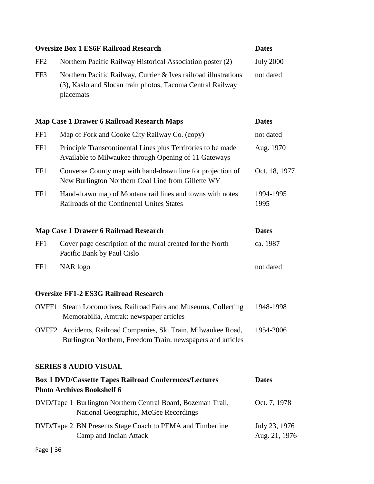|                 | <b>Oversize Box 1 ES6F Railroad Research</b>                                                                                               | <b>Dates</b>                   |
|-----------------|--------------------------------------------------------------------------------------------------------------------------------------------|--------------------------------|
| FF <sub>2</sub> | Northern Pacific Railway Historical Association poster (2)                                                                                 | <b>July 2000</b>               |
| FF3             | Northern Pacific Railway, Currier & Ives railroad illustrations<br>(3), Kaslo and Slocan train photos, Tacoma Central Railway<br>placemats | not dated                      |
|                 | Map Case 1 Drawer 6 Railroad Research Maps                                                                                                 | <b>Dates</b>                   |
| FF1             | Map of Fork and Cooke City Railway Co. (copy)                                                                                              | not dated                      |
| FF1             | Principle Transcontinental Lines plus Territories to be made<br>Available to Milwaukee through Opening of 11 Gateways                      | Aug. 1970                      |
| FF1             | Converse County map with hand-drawn line for projection of<br>New Burlington Northern Coal Line from Gillette WY                           | Oct. 18, 1977                  |
| FF1             | Hand-drawn map of Montana rail lines and towns with notes<br>Railroads of the Continental Unites States                                    | 1994-1995<br>1995              |
|                 | <b>Map Case 1 Drawer 6 Railroad Research</b>                                                                                               | <b>Dates</b>                   |
| FF1             | Cover page description of the mural created for the North<br>Pacific Bank by Paul Cislo                                                    | ca. 1987                       |
| FF1             | NAR logo                                                                                                                                   | not dated                      |
|                 | <b>Oversize FF1-2 ES3G Railroad Research</b>                                                                                               |                                |
|                 | OVFF1 Steam Locomotives, Railroad Fairs and Museums, Collecting<br>Memorabilia, Amtrak: newspaper articles                                 | 1948-1998                      |
|                 | OVFF2 Accidents, Railroad Companies, Ski Train, Milwaukee Road,<br>Burlington Northern, Freedom Train: newspapers and articles             | 1954-2006                      |
|                 | <b>SERIES 8 AUDIO VISUAL</b>                                                                                                               |                                |
|                 | <b>Box 1 DVD/Cassette Tapes Railroad Conferences/Lectures</b><br><b>Photo Archives Bookshelf 6</b>                                         | <b>Dates</b>                   |
|                 | DVD/Tape 1 Burlington Northern Central Board, Bozeman Trail,<br>National Geographic, McGee Recordings                                      | Oct. 7, 1978                   |
|                 | DVD/Tape 2 BN Presents Stage Coach to PEMA and Timberline<br>Camp and Indian Attack                                                        | July 23, 1976<br>Aug. 21, 1976 |
| Page   36       |                                                                                                                                            |                                |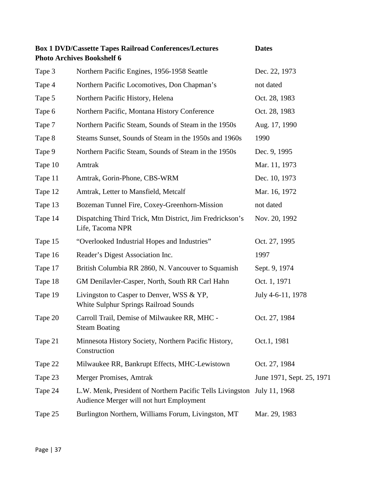|         | <b>Box 1 DVD/Cassette Tapes Railroad Conferences/Lectures</b><br><b>Photo Archives Bookshelf 6</b>                  | <b>Dates</b>              |
|---------|---------------------------------------------------------------------------------------------------------------------|---------------------------|
| Tape 3  | Northern Pacific Engines, 1956-1958 Seattle                                                                         | Dec. 22, 1973             |
| Tape 4  | Northern Pacific Locomotives, Don Chapman's                                                                         | not dated                 |
| Tape 5  | Northern Pacific History, Helena                                                                                    | Oct. 28, 1983             |
| Tape 6  | Northern Pacific, Montana History Conference                                                                        | Oct. 28, 1983             |
| Tape 7  | Northern Pacific Steam, Sounds of Steam in the 1950s                                                                | Aug. 17, 1990             |
| Tape 8  | Steams Sunset, Sounds of Steam in the 1950s and 1960s                                                               | 1990                      |
| Tape 9  | Northern Pacific Steam, Sounds of Steam in the 1950s                                                                | Dec. 9, 1995              |
| Tape 10 | Amtrak                                                                                                              | Mar. 11, 1973             |
| Tape 11 | Amtrak, Gorin-Phone, CBS-WRM                                                                                        | Dec. 10, 1973             |
| Tape 12 | Amtrak, Letter to Mansfield, Metcalf                                                                                | Mar. 16, 1972             |
| Tape 13 | Bozeman Tunnel Fire, Coxey-Greenhorn-Mission                                                                        | not dated                 |
| Tape 14 | Dispatching Third Trick, Mtn District, Jim Fredrickson's<br>Life, Tacoma NPR                                        | Nov. 20, 1992             |
| Tape 15 | "Overlooked Industrial Hopes and Industries"                                                                        | Oct. 27, 1995             |
| Tape 16 | Reader's Digest Association Inc.                                                                                    | 1997                      |
| Tape 17 | British Columbia RR 2860, N. Vancouver to Squamish                                                                  | Sept. 9, 1974             |
| Tape 18 | GM Denilavler-Casper, North, South RR Carl Hahn                                                                     | Oct. 1, 1971              |
| Tape 19 | Livingston to Casper to Denver, WSS & YP,<br>White Sulphur Springs Railroad Sounds                                  | July 4-6-11, 1978         |
| Tape 20 | Carroll Trail, Demise of Milwaukee RR, MHC<br><b>Steam Boating</b>                                                  | Oct. 27, 1984             |
| Tape 21 | Minnesota History Society, Northern Pacific History,<br>Construction                                                | Oct.1, 1981               |
| Tape 22 | Milwaukee RR, Bankrupt Effects, MHC-Lewistown                                                                       | Oct. 27, 1984             |
| Tape 23 | Merger Promises, Amtrak                                                                                             | June 1971, Sept. 25, 1971 |
| Tape 24 | L.W. Menk, President of Northern Pacific Tells Livingston July 11, 1968<br>Audience Merger will not hurt Employment |                           |
| Tape 25 | Burlington Northern, Williams Forum, Livingston, MT                                                                 | Mar. 29, 1983             |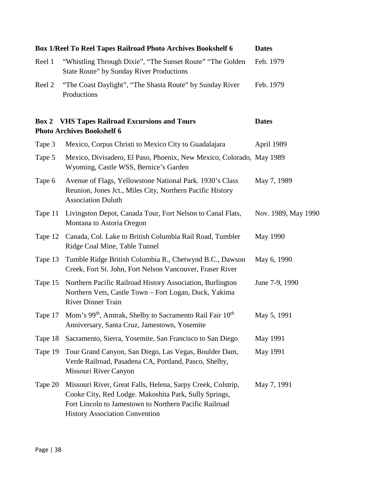|         | <b>Box 1/Reel To Reel Tapes Railroad Photo Archives Bookshelf 6</b>                                                                                                                                                     | <b>Dates</b>        |
|---------|-------------------------------------------------------------------------------------------------------------------------------------------------------------------------------------------------------------------------|---------------------|
| Reel 1  | "Whistling Through Dixie", "The Sunset Route" "The Golden"<br><b>State Route" by Sunday River Productions</b>                                                                                                           | Feb. 1979           |
| Reel 2  | "The Coast Daylight", "The Shasta Route" by Sunday River<br>Productions                                                                                                                                                 | Feb. 1979           |
| Box 2   | <b>VHS Tapes Railroad Excursions and Tours</b><br><b>Photo Archives Bookshelf 6</b>                                                                                                                                     | <b>Dates</b>        |
| Tape 3  | Mexico, Corpus Christi to Mexico City to Guadalajara                                                                                                                                                                    | April 1989          |
| Tape 5  | Mexico, Divisadero, El Paso, Phoenix, New Mexico, Colorado, May 1989<br>Wyoming, Castle WSS, Bernice's Garden                                                                                                           |                     |
| Tape 6  | Avenue of Flags, Yellowstone National Park. 1930's Class<br>Reunion, Jones Jct., Miles City, Northern Pacific History<br><b>Association Duluth</b>                                                                      | May 7, 1989         |
| Tape 11 | Livingston Depot, Canada Tour, Fort Nelson to Canal Flats,<br>Montana to Astoria Oregon                                                                                                                                 | Nov. 1989, May 1990 |
| Tape 12 | Canada, Col. Lake to British Columbia Rail Road, Tumbler<br>Ridge Coal Mine, Table Tunnel                                                                                                                               | May 1990            |
| Tape 13 | Tumble Ridge British Columbia R., Chetwynd B.C., Dawson<br>Creek, Fort St. John, Fort Nelson Vancouver, Fraser River                                                                                                    | May 6, 1990         |
| Tape 15 | Northern Pacific Railroad History Association, Burlington<br>Northern Vets, Castle Town - Fort Logan, Duck, Yakima<br><b>River Dinner Train</b>                                                                         | June 7-9, 1990      |
| Tape 17 | Mom's 99 <sup>th</sup> , Amtrak, Shelby to Sacramento Rail Fair 10 <sup>th</sup><br>Anniversary, Santa Cruz, Jamestown, Yosemite                                                                                        | May 5, 1991         |
| Tape 18 | Sacramento, Sierra, Yosemite, San Francisco to San Diego                                                                                                                                                                | May 1991            |
| Tape 19 | Tour Grand Canyon, San Diego, Las Vegas, Boulder Dam,<br>Verde Railroad, Pasadena CA, Portland, Pasco, Shelby,<br>Missouri River Canyon                                                                                 | May 1991            |
| Tape 20 | Missouri River, Great Falls, Helena, Sarpy Creek, Colstrip,<br>Cooke City, Red Lodge. Makoshita Park, Sully Springs,<br>Fort Lincoln to Jamestown to Northern Pacific Railroad<br><b>History Association Convention</b> | May 7, 1991         |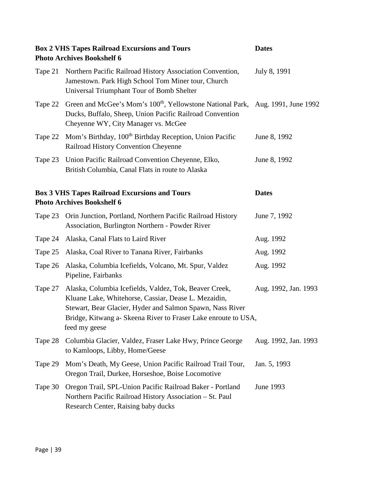|         | <b>Box 2 VHS Tapes Railroad Excursions and Tours</b><br><b>Photo Archives Bookshelf 6</b>                                                                                                                                                                      | <b>Dates</b>         |
|---------|----------------------------------------------------------------------------------------------------------------------------------------------------------------------------------------------------------------------------------------------------------------|----------------------|
| Tape 21 | Northern Pacific Railroad History Association Convention,<br>Jamestown. Park High School Tom Miner tour, Church<br>Universal Triumphant Tour of Bomb Shelter                                                                                                   | July 8, 1991         |
| Tape 22 | Green and McGee's Mom's 100 <sup>th</sup> , Yellowstone National Park, Aug. 1991, June 1992<br>Ducks, Buffalo, Sheep, Union Pacific Railroad Convention<br>Cheyenne WY, City Manager vs. McGee                                                                 |                      |
| Tape 22 | Mom's Birthday, 100 <sup>th</sup> Birthday Reception, Union Pacific<br>Railroad History Convention Cheyenne                                                                                                                                                    | June 8, 1992         |
| Tape 23 | Union Pacific Railroad Convention Cheyenne, Elko,<br>British Columbia, Canal Flats in route to Alaska                                                                                                                                                          | June 8, 1992         |
|         | <b>Box 3 VHS Tapes Railroad Excursions and Tours</b><br><b>Photo Archives Bookshelf 6</b>                                                                                                                                                                      | <b>Dates</b>         |
| Tape 23 | Orin Junction, Portland, Northern Pacific Railroad History<br>Association, Burlington Northern - Powder River                                                                                                                                                  | June 7, 1992         |
| Tape 24 | Alaska, Canal Flats to Laird River                                                                                                                                                                                                                             | Aug. 1992            |
| Tape 25 | Alaska, Coal River to Tanana River, Fairbanks                                                                                                                                                                                                                  | Aug. 1992            |
| Tape 26 | Alaska, Columbia Icefields, Volcano, Mt. Spur, Valdez<br>Pipeline, Fairbanks                                                                                                                                                                                   | Aug. 1992            |
| Tape 27 | Alaska, Columbia Icefields, Valdez, Tok, Beaver Creek,<br>Kluane Lake, Whitehorse, Cassiar, Dease L. Mezaidin,<br>Stewart, Bear Glacier, Hyder and Salmon Spawn, Nass River<br>Bridge, Kitwang a- Skeena River to Fraser Lake enroute to USA,<br>feed my geese | Aug. 1992, Jan. 1993 |
| Tape 28 | Columbia Glacier, Valdez, Fraser Lake Hwy, Prince George<br>to Kamloops, Libby, Home/Geese                                                                                                                                                                     | Aug. 1992, Jan. 1993 |
| Tape 29 | Mom's Death, My Geese, Union Pacific Railroad Trail Tour,<br>Oregon Trail, Durkee, Horseshoe, Boise Locomotive                                                                                                                                                 | Jan. 5, 1993         |
| Tape 30 | Oregon Trail, SPL-Union Pacific Railroad Baker - Portland<br>Northern Pacific Railroad History Association - St. Paul<br>Research Center, Raising baby ducks                                                                                                   | June 1993            |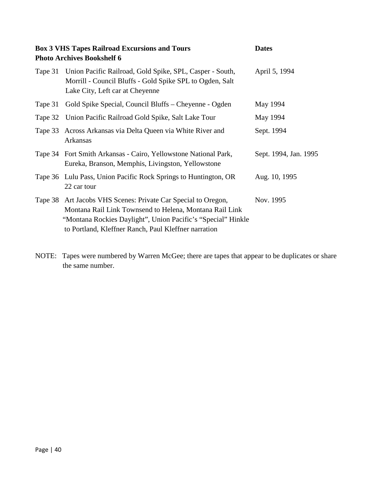| <b>Box 3 VHS Tapes Railroad Excursions and Tours</b><br><b>Photo Archives Bookshelf 6</b> | <b>Dates</b>                                                                                                                                                                                                                                     |                       |
|-------------------------------------------------------------------------------------------|--------------------------------------------------------------------------------------------------------------------------------------------------------------------------------------------------------------------------------------------------|-----------------------|
| Tape 31                                                                                   | Union Pacific Railroad, Gold Spike, SPL, Casper - South,<br>Morrill - Council Bluffs - Gold Spike SPL to Ogden, Salt<br>Lake City, Left car at Cheyenne                                                                                          | April 5, 1994         |
| Tape 31                                                                                   | Gold Spike Special, Council Bluffs – Cheyenne - Ogden                                                                                                                                                                                            | May 1994              |
|                                                                                           | Tape 32 Union Pacific Railroad Gold Spike, Salt Lake Tour                                                                                                                                                                                        | May 1994              |
|                                                                                           | Tape 33 Across Arkansas via Delta Queen via White River and<br>Arkansas                                                                                                                                                                          | Sept. 1994            |
|                                                                                           | Tape 34 Fort Smith Arkansas - Cairo, Yellowstone National Park,<br>Eureka, Branson, Memphis, Livingston, Yellowstone                                                                                                                             | Sept. 1994, Jan. 1995 |
|                                                                                           | Tape 36 Lulu Pass, Union Pacific Rock Springs to Huntington, OR<br>22 car tour                                                                                                                                                                   | Aug. 10, 1995         |
|                                                                                           | Tape 38 Art Jacobs VHS Scenes: Private Car Special to Oregon,<br>Montana Rail Link Townsend to Helena, Montana Rail Link<br>"Montana Rockies Daylight", Union Pacific's "Special" Hinkle<br>to Portland, Kleffner Ranch, Paul Kleffner narration | Nov. 1995             |

NOTE: Tapes were numbered by Warren McGee; there are tapes that appear to be duplicates or share the same number.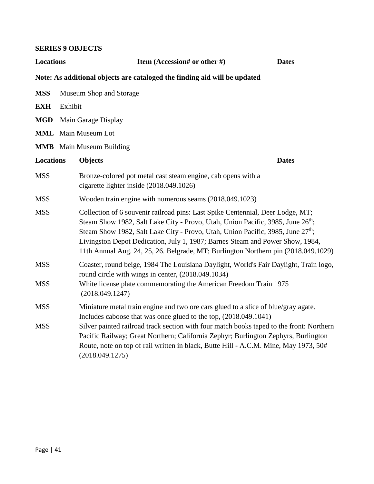#### **SERIES 9 OBJECTS**

| Locations                                                                 |                            | <b>Item (Accession# or other #)</b>                                                                                                                                                                                                                                                                                                                                                                                                                 | <b>Dates</b> |  |  |
|---------------------------------------------------------------------------|----------------------------|-----------------------------------------------------------------------------------------------------------------------------------------------------------------------------------------------------------------------------------------------------------------------------------------------------------------------------------------------------------------------------------------------------------------------------------------------------|--------------|--|--|
| Note: As additional objects are cataloged the finding aid will be updated |                            |                                                                                                                                                                                                                                                                                                                                                                                                                                                     |              |  |  |
| <b>MSS</b>                                                                |                            | Museum Shop and Storage                                                                                                                                                                                                                                                                                                                                                                                                                             |              |  |  |
| <b>EXH</b>                                                                | Exhibit                    |                                                                                                                                                                                                                                                                                                                                                                                                                                                     |              |  |  |
| <b>MGD</b>                                                                |                            | Main Garage Display                                                                                                                                                                                                                                                                                                                                                                                                                                 |              |  |  |
|                                                                           | <b>MML</b> Main Museum Lot |                                                                                                                                                                                                                                                                                                                                                                                                                                                     |              |  |  |
|                                                                           |                            | <b>MMB</b> Main Museum Building                                                                                                                                                                                                                                                                                                                                                                                                                     |              |  |  |
| <b>Locations</b>                                                          |                            | <b>Objects</b>                                                                                                                                                                                                                                                                                                                                                                                                                                      | <b>Dates</b> |  |  |
| <b>MSS</b>                                                                |                            | Bronze-colored pot metal cast steam engine, cab opens with a<br>cigarette lighter inside (2018.049.1026)                                                                                                                                                                                                                                                                                                                                            |              |  |  |
| <b>MSS</b>                                                                |                            | Wooden train engine with numerous seams (2018.049.1023)                                                                                                                                                                                                                                                                                                                                                                                             |              |  |  |
| <b>MSS</b>                                                                |                            | Collection of 6 souvenir railroad pins: Last Spike Centennial, Deer Lodge, MT;<br>Steam Show 1982, Salt Lake City - Provo, Utah, Union Pacific, 3985, June 26 <sup>th</sup> ;<br>Steam Show 1982, Salt Lake City - Provo, Utah, Union Pacific, 3985, June 27 <sup>th</sup> ;<br>Livingston Depot Dedication, July 1, 1987; Barnes Steam and Power Show, 1984,<br>11th Annual Aug. 24, 25, 26. Belgrade, MT; Burlington Northern pin (2018.049.1029) |              |  |  |
| <b>MSS</b>                                                                |                            | Coaster, round beige, 1984 The Louisiana Daylight, World's Fair Daylight, Train logo,<br>round circle with wings in center, (2018.049.1034)                                                                                                                                                                                                                                                                                                         |              |  |  |
| <b>MSS</b>                                                                |                            | White license plate commemorating the American Freedom Train 1975<br>(2018.049.1247)                                                                                                                                                                                                                                                                                                                                                                |              |  |  |
| <b>MSS</b>                                                                |                            | Miniature metal train engine and two ore cars glued to a slice of blue/gray agate.<br>Includes caboose that was once glued to the top, (2018.049.1041)                                                                                                                                                                                                                                                                                              |              |  |  |
| <b>MSS</b>                                                                |                            | Silver painted railroad track section with four match books taped to the front: Northern<br>Pacific Railway; Great Northern; California Zephyr; Burlington Zephyrs, Burlington<br>Route, note on top of rail written in black, Butte Hill - A.C.M. Mine, May 1973, 50#<br>(2018.049.1275)                                                                                                                                                           |              |  |  |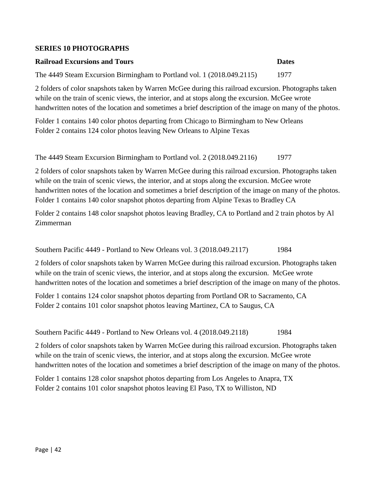#### **SERIES 10 PHOTOGRAPHS**

#### **Railroad Excursions and Tours Dates**

The 4449 Steam Excursion Birmingham to Portland vol. 1 (2018.049.2115) 1977

2 folders of color snapshots taken by Warren McGee during this railroad excursion. Photographs taken while on the train of scenic views, the interior, and at stops along the excursion. McGee wrote handwritten notes of the location and sometimes a brief description of the image on many of the photos.

Folder 1 contains 140 color photos departing from Chicago to Birmingham to New Orleans Folder 2 contains 124 color photos leaving New Orleans to Alpine Texas

The 4449 Steam Excursion Birmingham to Portland vol. 2 (2018.049.2116) 1977

2 folders of color snapshots taken by Warren McGee during this railroad excursion. Photographs taken while on the train of scenic views, the interior, and at stops along the excursion. McGee wrote handwritten notes of the location and sometimes a brief description of the image on many of the photos. Folder 1 contains 140 color snapshot photos departing from Alpine Texas to Bradley CA

Folder 2 contains 148 color snapshot photos leaving Bradley, CA to Portland and 2 train photos by Al Zimmerman

Southern Pacific 4449 - Portland to New Orleans vol. 3 (2018.049.2117) 1984

2 folders of color snapshots taken by Warren McGee during this railroad excursion. Photographs taken while on the train of scenic views, the interior, and at stops along the excursion. McGee wrote handwritten notes of the location and sometimes a brief description of the image on many of the photos.

Folder 1 contains 124 color snapshot photos departing from Portland OR to Sacramento, CA Folder 2 contains 101 color snapshot photos leaving Martinez, CA to Saugus, CA

Southern Pacific 4449 - Portland to New Orleans vol. 4 (2018.049.2118) 1984

2 folders of color snapshots taken by Warren McGee during this railroad excursion. Photographs taken while on the train of scenic views, the interior, and at stops along the excursion. McGee wrote handwritten notes of the location and sometimes a brief description of the image on many of the photos.

Folder 1 contains 128 color snapshot photos departing from Los Angeles to Anapra, TX Folder 2 contains 101 color snapshot photos leaving El Paso, TX to Williston, ND